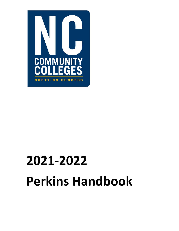

# **2021‐2022 Perkins Handbook**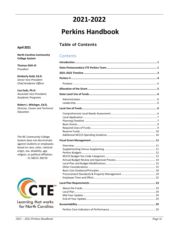# 2021-2022

# **Perkins Handbook**

# **Table of Contents**

#### **April 2021**

**North Carolina Community College System** 

**Thomas Stith III** President

Kimberly Gold, Ed.D. Senior Vice-President Chief Academic Officer

Lisa Eads, Ph.D. Associate Vice-President, Academic Programs

Robert J. Witchger, Ed.D. Director, Career and Technical Education

The NC Community College System does not discriminate against students or employees based on race, color, national origin, sex, disability, age, religion, or political affiliation. - 1C SBCCC 200.95



Learning that works for North Carolina

#### Contents

| 23 |
|----|
|    |
|    |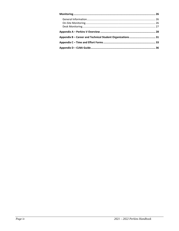| Appendix B - Career and Technical Student Organizations 31 |  |
|------------------------------------------------------------|--|
|                                                            |  |
|                                                            |  |
|                                                            |  |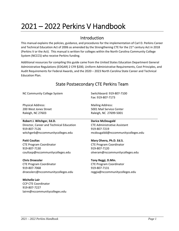# 2021 – 2022 Perkins V Handbook

## Introduction

This manual explains the policies, guidance, and procedures for the implementation of Carl D. Perkins Career and Technical Education Act of 2006 as amended by the Strengthening CTE for the  $21^{st}$  century Act in 2018 (Perkins V or the Act). This manual is written for colleges within the North Carolina Community College System (NCCCS) who receive Perkins funding.

Additional resources for compiling this guide came from the United States Education Department General Administrative Regulations (EDGAR) 2 CFR §200, Uniform Administrative Requirements, Cost Principles, and Audit Requirements for Federal Awards, and the 2020 – 2023 North Carolina State Career and Technical Education Plan.

# State Postsecondary CTE Perkins Team

NC Community College System

Physical Address: 200 West Jones Street Raleigh, NC 27603

#### **Robert J. Witchger, Ed.D.**

Director, Career and Technical Education 919‐807‐7126 witchgerb@nccommunitycolleges.edu

**Patti Coultas**  CTE Program Coordinator 919‐807‐7130 coultasp@nccommunitycolleges.edu

**Chris Droessler**  CTE Program Coordinator 919‐807‐7068 droesslerc@nccommunitycolleges.edu

**Michelle Lair**  CCP CTE Coordinator 919‐807‐7227 lairm@nccommunitycolleges.edu Switchboard: 919‐807‐7100 Fax: 919‐807‐7173

Mailing Address: 5001 Mail Service Center Raleigh, NC 27699‐5001

**Darice McDougald**  CTE Administrative Assistant 919‐807‐7219 mcdougaldd@nccommunitycolleges.edu

**Mary Olvera, Ph.D. Ed.S.**  CTE Program Coordinator 919‐807‐7120 olveram@nccommunitycolleges.edu

**Tony Reggi, D.Min.**  CTE Program Coordinator 919‐807‐7131 reggia@nccommunitycolleges.edu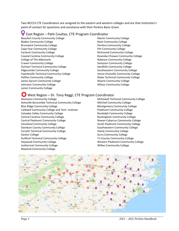Two NCCCS CTE Coordinators are assigned to the eastern and western colleges and are that institution's point of contact for questions and assistance with their Perkins Basic Grant.

#### East Region – Patti Coultas, CTE Program Coordinator

Beaufort County Community College Bladen Community College Brunswick Community College Cape Fear Community College Carteret Community College Coastal Carolina Community College College of The Albemarle Craven Community College Durham Technical Community College Edgecombe Community College Fayetteville Technical Community College Halifax Community College James Sprunt Community College Johnston Community College Lenoir Community College

Martin Community College Nash Community College Pamlico Community College Pitt Community College Richmond Community College Roanoke‐Chowan Community College Robeson Community College Sampson Community College Sandhills Community College Southeastern Community College Vance‐Granville Community College Wake Technical Community College Wayne Community College Wilson Community College

#### West Region – Dr. Tony Reggi, CTE Program Coordinator

Alamance Community College Asheville‐Buncombe Technical Community College Blue Ridge Community College Caldwell Community College and Tech. Institute Catawba Valley Community College Central Carolina Community College Central Piedmont Community College Cleveland Community College Davidson County Community College Forsyth Technical Community College Gaston College Guilford Technical Community College Haywood Community College Isothermal Community College Mayland Community College

McDowell Technical Community College Mitchell Community College Montgomery Community College Piedmont Community College Randolph Community College Rockingham Community College Rowan‐Cabarrus Community College South Piedmont Community College Southwestern Community College Stanly Community College Surry Community College Tri‐County Community College Western Piedmont Community College Wilkes Community College

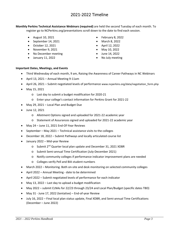# 2021‐2022 Timeline

**Monthly Perkins Technical Assistance Webinars (required)** are held the second Tuesday of each month. To register go to NCPerkins.org/presentations scroll down to the date to find each session.

- August 10, 2021
- $\bullet$  September 14, 2021
- October 12, 2021
- November 9, 2021
- No December meeting
- January 11, 2022
- February 8, 2022
- March 8, 2022
- April 12, 2022
- May 10, 2022
- June 14, 2022
- No July meeting

#### **Important Dates, Meetings, and Events**

- Third Wednesday of each month, 9 am, Raising the Awareness of Career Pathways in NC Webinars
- April 13, 2021 Annual Meeting 9‐11am
- April 26, 2021 Submit negotiated levels of performance www.ncperkins.org/data/negotiation form.php
- May 15, 2021
	- o Last day to submit a budget modification for 2020‐21
	- o Enter your college's contact information for Perkins Grant for 2021‐22
- May 29, 2021 Local Plan and Budget Due
- June 12, 2021
	- o Allotment Options signed and uploaded for 2021‐22 academic year
	- o Statement of Assurances signed and uploaded for 2021‐22 academic year
- May 24 June 11, 2021 End-Of-Year Reviews
- September May 2021 Technical assistance visits to the colleges
- December 18, 2022 Submit Pathways and locally articulated course list
- January 2022 Mid‐year Review
	- o Submit 2nd Quarter local plan update and December 31, 2021 XDBR
	- o Submit Semi‐annual Time Certification (July‐December 2021)
	- o Notify community colleges if performance indicator improvement plans are needed
	- o Colleges verify Pell and BIA student numbers
- March 2022 Monitoring. Both on‐site and desk monitoring on selected community colleges
- April 2022 Annual Meeting date to be determined
- April 2022 Submit negotiated levels of performance for each indicator
- May 13, 2022 Last day to upload a budget modification
- May 2022 submit CLNAs for 22/23 through 23/24 and Local Plan/Budget (specific dates TBD)
- May 31 ‐ June 17, 2022 (tentative) End‐of‐year Review
- July 16, 2022 Final local plan status update, Final XDBR, and Semi-annual Time Certifications (December – June 2022)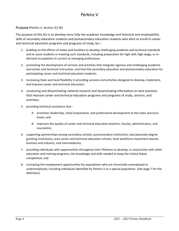# Perkins V

#### Purpose (Perkins V, Section 2(1‐8))

The purpose of this Act is to develop more fully the academic knowledge and technical and employability skills of secondary education students and postsecondary education students who elect to enroll in career and technical education programs and programs of study, by—

- 1. building on the efforts of states and localities to develop challenging academic and technical standards and to assist students in meeting such standards, including preparation for high‐skill, high‐wage, or in‐ demand occupations in current or emerging professions;
- 2. promoting the development of services and activities that integrate rigorous and challenging academic and career and technical instruction, and that link secondary education and postsecondary education for participating career and technical education students;
- 3. increasing State and local flexibility in providing services and activities designed to develop, implement, and improve career and technical education;
- 4. conducting and disseminating national research and disseminating information on best practices that improve career and technical education programs and programs of study, services, and activities;
- 5. providing technical assistance that ‐‐
	- A. promotes leadership, initial preparation, and professional development at the state and local levels; and
	- B. improves the quality of career and technical education teachers, faculty, administrators, and counselors;
- 6. supporting partnerships among secondary schools, postsecondary institutions, baccalaureate degree granting institutions, area career and technical education schools, local workforce investment boards, business and industry, and intermediaries;
- 7. providing individuals with opportunities throughout their lifetimes to develop, in conjunction with other education and training programs, the knowledge and skills needed to keep the United States competitive; and
- 8. increasing the employment opportunities for populations who are chronically unemployed or underemployed, including individuals identified by Perkins V as a special population. (See page 7 for the definition)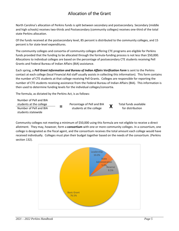# Allocation of the Grant

North Carolina's allocation of Perkins funds is split between secondary and postsecondary. Secondary (middle and high schools) receives two-thirds and Postsecondary (community colleges) receives one-third of the total state Perkins allocation.

Of the funds received at the postsecondary level, 85 percent is distributed to the community colleges, and 15 percent is for state‐level expenditures.

The community colleges and consortia of community colleges offering CTE programs are eligible for Perkins funds provided that the funding to be allocated through the formula-funding process is not less than \$50,000. Allocations to individual colleges are based on the percentage of postsecondary CTE students receiving Pell Grants and Federal Bureau of Indian Affairs (BIA) assistance.

Each spring, a *Pell Grant Information and Bureau of Indian Affairs Verification Form* is sent to the Perkins contact at each college (local Financial Aid staff usually assists in collecting this information). This form contains the number of CTE students at that college receiving Pell Grants. Colleges are responsible for reporting the number of CTE students receiving assistance from the Federal Bureau of Indian Affairs (BIA). This information is then used to determine funding levels for the individual colleges/consortia.

The formula, as dictated by the Perkins Act, is as follows:

Number of Pell and BIA students at the college **Fig. 2** Percentage of Pell and BIA<br>
Number of Pell and BIA **Fig. 2** students at the college students at the college **1998 COV** Percentage of Pell and BIA **1998** Total funds available<br>Number of Pell and BIA **1998** students at the college **1998** for distribution students statewide

Community colleges not meeting a minimum of \$50,000 using this formula are not eligible to receive a direct allotment. They may, however, form a **consortium** with one or more community colleges. In a consortium, one college is designated as the fiscal agent, and the consortium receives the total amount each college would have received individually. Colleges must plan their budget together based on the needs of the consortium. (Perkins section 132).

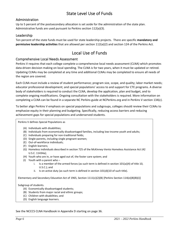# State Level Use of Funds

#### Administration

Up to 5 percent of the postsecondary allocation is set aside for the administration of the state plan. Administrative funds are used pursuant to Perkins section 112(a)(3).

#### Leadership

Ten percent of the state funds must be used for state leadership projects. There are specific **mandatory and permissive leadership activities** that are allowed per section 112(a)(2) and section 124 of the Perkins Act.

# Local Use of Funds

#### Comprehensive Local Needs Assessment

Perkins V requires that each college complete a comprehensive local needs assessment (CLNA) which promotes data-driven decision making on local spending. The CLNA is for two years, when it must be updated or retired. Updating CLNAs may be completed at any time and additional CLNAs may be completed to ensure all needs of the region are covered.

Each CLNA must include a review of student performance; program size, scope, and quality; labor market needs; educator professional development; and special populations' access to and support for CTE programs. A diverse body of stakeholders is required to conduct the CLNA, develop the application, plan and budget, and to complete ongoing modifications. Ongoing consultation with the stakeholders is required. More information on completing a CLNA can be found in a separate NC Perkins guide at NCPerkins.org and in Perkins V section 134(c).

To better align Perkins V emphasis on special populations and subgroups, colleges should review their CLNAs to emphasize equity in their planning and budgeting. Specifically, reducing access barriers and reducing achievement gaps for special populations and underserved students.

Perkins V defines Special Populations as

- (A) Individuals with disabilities;
- (B) Individuals from economically disadvantaged families, including low‐income youth and adults;
- (C) Individuals preparing for non‐traditional fields;
- (D) Single‐parents, including single pregnant women;
- (E) Out‐of‐workforce individuals;
- (F) English learners;
- (G) Homeless individuals described in section 725 of the McKinney‐Vento Homeless Assistance Act (42 U.S.C. 11434a);
- (H) Youth who are in, or have aged out of, the foster care system; and
- (I) Youth with a parent who
	- i. Is a member of the armed forces (as such term is defined in section  $101(a)(4)$  of title 10, U.S.C.); and
	- ii. Is on active duty (as such term is defined in section  $101(d)(10)$  of such title).

Elementary and Secondary Education Act of 1965, Section 1111(c)(2)(B) [Perkins Section 114(e)(8)(B)(i)]

#### Subgroup of students.

- (A) Economically disadvantaged students;
- (B) Students from major racial and ethnic groups;
- (C) Children with disabilities; and
- (D) English language learners.

See the NCCCS CLNA Handbook in Appendix D starting on page 36.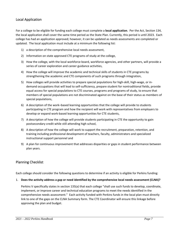#### Local Application

For a college to be eligible for funding each college must complete a **local application**. Per the Act, Section 134, the local application shall cover the same time period as the State Plan. Currently, this period is until 2023. Each college has had an application approved; however, it can be updated as needs assessments are completed or updated. The local application must include at a minimum the following list:

- 1) a description of the comprehensive local needs assessment,
- 2) Information on state approved CTE programs of study at the college,
- 3) How the college, with the local workforce board, workforce agencies, and other partners, will provide a series of career exploration and career guidance activities,
- 4) How the college will improve the academic and technical skills of students in CTE programs by strengthening the academic and CTE components of such programs through integration,
- 5) How colleges will provide activities to prepare special populations for high-skill, high-wage, or indemand occupations that will lead to self‐sufficiency, prepare student for nontraditional fields, provide equal access for special populations to CTE courses, programs and programs of study, to ensure that members of special populations are not discriminated against on the base of their status as members of special populations,
- 6) A description of the work–based learning opportunities that the college will provide to students participating in CTE program and how the recipient will work with representatives from employers to develop or expand work‐based learning opportunities for CTE students,
- 7) A description of how the college will provide students participating in CTE the opportunity to gain postsecondary credit while still attending high school,
- 8) A description of how the college will work to support the recruitment, preparation, retention, and training including professional development of teachers, faculty, administrators and specialized instructional support personnel and
- 9) A plan for continuous improvement that addresses disparities or gaps in student performance between plan years.

#### Planning Checklist

Each college should consider the following questions to determine if an activity is eligible for Perkins funding:

#### 1. **Does the activity address a gap or need identified by the comprehensive local needs assessment (CLNA)?**

Perkins V specifically states in section 135(a) that each college "shall use such funds to develop, coordinate, implement, or improve career and technical education programs to meet the needs identified in the comprehensive needs assessment." Each activity funded with Perkins funds in the local plan must directly link to one of the gaps on the CLNA Summary form. The CTE Coordinator will ensure this linkage before approving the plan and budget.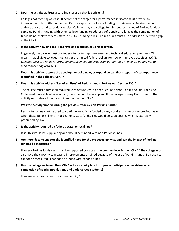#### 2. **Does the activity address a core indictor area that is deficient?**

Colleges not meeting at least 90 percent of the target for a performance indicator must provide an improvement plan with their annual Perkins report and allocate funding in their annual Perkins budget to address any core indicator deficiencies. Colleges may use college funding sources in lieu of Perkins funds or combine Perkins funding with other college funding to address deficiencies, so long as the combination of funds do not violate federal, state, or NCCCS funding rules. Perkins funds must also address an identified gap in the CLNA.

#### 3. **Is the activity new or does it improve or expand an existing program?**

In general, the college must use federal funds to improve career and technical education programs. This means that eligible colleges must target the limited federal dollars for new or improved activities. *NOTE: Colleges must use funds for program improvement and expansion as identified in their CLNA, and not to maintain existing activities.* 

#### 4. **Does this activity support the development of a new, or expand an existing program of study/pathway identified in the college's CLNA?**

#### 5. **Does this activity address "Required Uses" of Perkins funds (Perkins Act, Section 135)?**

The college must address all required uses of funds with either Perkins or non‐Perkins dollars. Each Voc Code must have at least one activity identified on the local plan. If the college is using Perkins funds, that activity must also address a gap identified in their CLNA.

#### 6. **Was the activity funded during the previous year by non‐Perkins funds?**

Perkins funds may not be used to continue an activity funded by any non-Perkins funds the previous year when those funds still exist. For example, state funds. This would be supplanting, which is expressly prohibited by law.

#### 7. **Is the activity required by federal, state, or local law?**

If so, this would be supplanting and should be funded with non‐Perkins funds.

#### 8. **Are there data to support the identified need for the proposed activity, and can the impact of Perkins funding be measured?**

How are Perkins funds used must be supported by data at the program level in their CLNA? The college must also have the capacity to measure improvements attained because of the use of Perkins funds. If an activity cannot be measured, it cannot be funded with Perkins funds.

#### 9. **Has the college reviewed their CLNA with an equity lens to improve participation, persistence, and completion of special populations and underserved students?**

How are activities planned to address equity?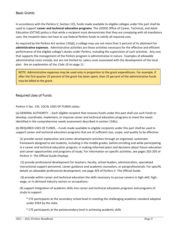#### Basic Grants

In accordance with the Perkins V, Section 135, funds made available to eligible colleges under this part shall be used to support **career and technical education programs**. The USDOE Office of Career, Technical, and Adult Education (OCTAE) policy is that while a recipient must demonstrate that they are complying with all mandatory uses, the recipient does not have to use federal Perkins funds to satisfy all required uses.

As required by the Perkins Act section 135(d), a college may use not more than 5 percent of its allotment for **administrative expenses**. Administrative activities are those activities necessary for the effective and efficient performance of the eligible college's duties under Perkins, including the supervision of such activities. Any cost that supports the management of the Perkins program is administrative in nature. Examples of allowable administrative costs include, but are not limited to, salary costs associated with the development of the local plan. *See an explanation of Voc Code 10* on page 11.

NOTE: Administrative expenses may be used only in proportion to the grant expenditures. For example, if after the first quarter 25 percent of the grant has been spent, then 25 percent of the administrative funds may be billed to the grant.

#### Required Uses of Funds

Perkins V Sec. 135. LOCAL USES OF FUNDS states:

(a) GENERAL AUTHORITY. ‐‐Each eligible recipient that receives funds under this part shall use such funds to develop, coordinate, implement, or improve career and technical education programs to meet the needs identified in the comprehensive needs assessment described in section 134(c).

(b) REQUIRED USES OF FUNDS. ‐‐Funds made available to eligible recipients under this part shall be used to support career and technical education programs that are of sufficient size, scope, and quality to be effective.

(1) provide career exploration and career development activities through an organized, systematic framework designed to aid students, including in the middle grades, before enrolling and while participating in a career and technical education program, in making informed plans and decisions about future education and career opportunities and programs of study. For information on specific activities, see pages 202‐205 of Perkins V‐ The Official Guide (Hyslop)

 (2) provide professional development for teachers, faculty, school leaders, administrators, specialized instructional support personnel, career guidance and academic counselors, or paraprofessionals. For specific details on allowable professional development, see page 203 of Perkins V‐ The Official Guide.

 (3) provide within career and technical education the skills necessary to pursue careers in high‐skill, high‐ wage, or in‐demand industry sectors or occupations;

(4) support integration of academic skills into career and technical education programs and programs of study to support:

\* CTE participants at the secondary school level in meeting the challenging academic standard adopted under ESEA by the state

\* CTE participants at the postsecondary level in achieving academic skills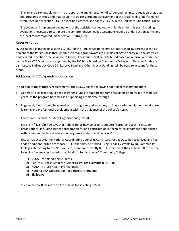(5) plan and carry out elements that support the implementation of career and technical education programs and programs of study and that result in increasing student achievement of the local levels of performance established under section 113. For specific elements, see pages 204‐205 in the Perkins V‐ The Official Guide.

(6) develop and implement evaluations of the activities carried out with funds under this part, including evaluations necessary to complete the comprehensive needs assessment required under section 134(c) and the local report required under section 113(b)(4)(B).

#### Reserve Funds

NCCCS takes advantage of section 112(c)(1) of the Perkins Act to reserve not more than 15 percent of the 85 percent of the Perkins pass‐through funds to make grant awards to eligible colleges to carry out the activities enumerated in section 135 (local use of funds). These funds will be distributed based on a formula established by the State CTE Director and approved by the NC State Board on Community Colleges. If Reserve Funds are distributed, Budget Voc Code 28 "Reserve Fund and Other Special Funding" will be used to account for these funds.

#### Additional NCCCS Spending Guidance

In addition to the statutory requirements, the NCCCS has the following additional recommendations:

- 1. Generally, a college should not use Perkins funds to support the same faculty position for more than two years, as the program becomes self‐supporting at this time through FTE.
- 2. In general, funds should be spread across programs and activities, such as salaries, equipment, work‐based learning and professional development within the guidance of the college's CLNA.
- 3. Career and Technical Student Organizations (CTSOs)

Perkins V §135(b)(5)(O) says that Perkins funds may be used to support "career and technical student organizations, including student preparation for and participation in technical skills competitions aligned with career and technical education program standards and curricula"

NCCCS has accepted the National Coordinating Council (NCC) criteria for CTSOs to be recognized and has added additional criteria for those CTSOs that may be funded using Perkins V grants by NC Community Colleges. According to the NCC website, there are currently 8 CTSOs that meet their criteria. Of those, the following five may be funded using Perkins V funds at an NC Community College:

- 1) **DECA** for marketing students
- 2) Future Business Leaders of America‐**Phi Beta Lambda** (FBLA‐PBL)
- 3) **HOSA** Future Health Professionals
- 4) National **FFA** Organization for agriculture students
- **5) SkillsUSA**

\*See Appendix B for more on the criteria for selecting CTSOs.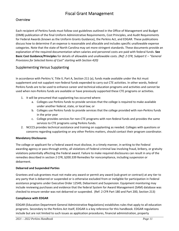# Fiscal Grant Management

#### **Overview**

Each recipient of Perkins funds must follow cost guidelines outlined in the Office of Management and Budget (OMB) publication of the final Uniform Administrative Requirements, Cost Principles, and Audit Requirements for Federal Awards (known as the Uniform Grants Guidance), the Perkins Act, and EDGAR. These publications discuss how to determine if an expense is reasonable and allocable and includes specific unallowable expense categories. Note that the state of North Carolina may set more stringent standards. These documents provide an explanation of the required documentation when salaries and personnel costs are paid with federal funds. **See Basic Cost Guidance/Principles** for details of allowable and unallowable costs. *(Ref: 2 CFR, Subpart E – "General Provisions for Selected Items of Cost" starting with Section 420)*

#### Supplementing Versus Supplanting

In accordance with Perkins V, Title II, Part A, Section 211 (a), funds made available under the Act must supplement and not supplant non‐federal funds expended to carry out CTE activities. In other words, federal Perkins funds are to be used to enhance career and technical education programs and activities and cannot be used when non‐Perkins funds are available or have previously supported these CTE programs or activities.

- 1. It will be presumed that supplanting has occurred where:
	- a. Colleges use Perkins funds to provide services that the college is required to make available under another federal, state, or local law; or
	- b. Colleges use Perkins funds to provide services that the college provided with non‐Perkins funds in the prior year
	- c. College provides services for non‐CTE programs with non‐federal funds and provides the same services to CTE programs using Perkins funds.
- 2. NCCCS provides technical assistance and training on supplanting as needed. Colleges with questions or concerns regarding supplanting or any other Perkins matters, should contact their program coordinator.

#### **Mandatory Disclosures**

The college or applicant for a Federal award must disclose, in a timely manner, in writing to the Federal awarding agency or pass-through entity, all violations of Federal criminal law involving fraud, bribery, or gratuity violations potentially affecting the Federal award. Failure to make required disclosures can result in any of the remedies described in section 2 CFR, §200.339 Remedies for noncompliance, including suspension or debarment.

#### **Debarred and Suspended Parties**

Grantees and sub‐grantees must not make any award or permit any award (sub‐grant or contract) at any tier to any party that is debarred or suspended or is otherwise excluded from or ineligible for participation in Federal assistance programs under Executive Order 12549, Debarment and Suspension. Equipment monitoring may include reviewing purchases and evidence that the federal System for Award Management (SAM) database was checked to ensure vendor was not debarred or suspended. (Ref: 2 CFR Part 180 and Part 200, Section 213)

#### **Compliance with EDGAR**

EDGAR (Education Department General Administrative Regulations) establishes rules that apply to all education programs. Secondary to the Perkins Act itself, EDGAR is a key reference for this handbook. EDGAR regulations include but are not limited to such issues as application procedures, financial administration, property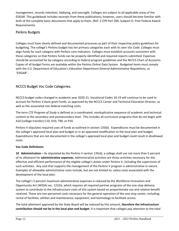management, records retention, lobbying, and oversight. Colleges are subject to all applicable areas of the EDGAR. This guidebook includes excerpts from these publications; however, users should become familiar with both of the complete basic documents that apply to them. (Ref: 2 CFR Part 200, Subpart D‐ Post Federal Award Requirements)

#### Perkins Budgets

Colleges must have clearly defined and documented processes as part of their respective policy guidelines for budgeting. The college's Perkins budget has ten primary categories each with its own *Voc Code*. Colleges must align funds for each category with Perkins core indicators. Colleges must establish accounts consistent with these categories so that Perkins funds can be properly identified and required reports submitted. Expenses should be accounted for by category according to federal program guidelines and the NCCCS Chart of Accounts. Copies of all budget forms are available within the Perkins Online Data System. Budgeted items must comply with the U.S. Department of Education's *Education Department General Administrative Regulations*, or "EDGAR".

#### NCCCS Budget Voc Code Categories:

NCCCS budget codes changed in academic year 2020‐21, Vocational Codes 10‐19 will continue to be used to account for Perkins V basic grant funds, as approved by the NCCCS Career and Technical Education Director, as well as the associated non-federal matching costs.

The term *CTE Program of Study* is defined as a coordinated, nonduplicative sequence of academic and technical content at the secondary and postsecondary level. This includes all curriculum programs that do not begin with A10 (college transfer) C10, D10, T90, or P10.

Perkins V stipulates required uses of funds as outlined in section 135(b). Expenditures must be documented in the college's approved local plan and budget or in an approved modification to the local plan and budget. Expenditures that are not documented in the college's approved local plan and budget could result in disallowed costs.

#### **Voc Code Definitions**

**10 Administration** – As stipulated by the Perkins V section 135(d), a college shall use not more than 5 percent of its allotment for **administrative expenses**. Administrative activities are those activities necessary for the effective and efficient performance of the eligible college's duties under Perkins V, including the supervision of such activities. Any cost that supports the management of the Perkins V program is administrative in nature. Examples of allowable administrative costs include, but are not limited to, salary costs associated with the development of the local plan.

The college's 5 percent maximum administrative expenses is reduced by the Workforce Innovation and Opportunity Act (WIOA) sec. 121(h), which requires all required partner programs of the one‐stop delivery system to contribute to the infrastructure costs of this system based on proportionate use and relative benefit received. These are non‐personnel costs necessary for the general operation of the one‐stop center, including: rental of facilities; utilities and maintenance; equipment; and technology to facilitate access.

The total allotment approved by the State Board will be reduced by this amount, **therefore the infrastructure contribution should not be in the local plan and budget**. It is important that colleges pay attention to the total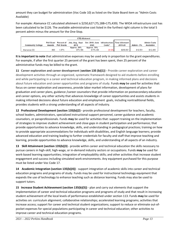amount they can budget for administration (Voc Code 10) as listed on the State Board item as "Admin Costs Available)

For example: Alamance CC calculated allotment is \$250,627 (75,188+175,439). The WIOA infrastructure cost has been calculated to be \$126. The available administrative cost listed in the furthest right column is the total 5 percent admin minus the amount for the One‐Stop.

| <b>CTE Allotment</b>     |        |                    |                                                                                        |             |                    |           |                   |                    |
|--------------------------|--------|--------------------|----------------------------------------------------------------------------------------|-------------|--------------------|-----------|-------------------|--------------------|
|                          |        |                    | Pell Grant Percent of July, Aug., Sept. Oct. 2018- June Infrastructure Total Allotment |             |                    |           |                   | <b>Admin Costs</b> |
| <b>Community College</b> | Awards | <b>Pell Grants</b> | 2019                                                                                   | 2020        | Costs <sup>^</sup> | 2019-20   | <b>Admin - 5%</b> | <b>Availalble</b>  |
|                          |        |                    | Approx. 30%                                                                            | Approx. 70% |                    |           |                   |                    |
| Alamance CC              | 800    | 1.87%              | \$75.188                                                                               | \$175.439   | \$126)             | \$250.501 | \$12,531          | \$12,405           |

**It is important to note** that administrative expenses may be used only in proportion to the grant expenditures. For example, if after the first quarter 25 percent of the grant has been spent, then 25 percent of the administrative funds may be billed to the grant.

**11 Career exploration and career development (section 135 (b)(1))** - Provide career exploration and career development activities through an organized, systematic framework designed to aid students before enrolling and while participating in a career and technical education program, in making informed plans and decisions about future education and career opportunities and programs of study. Funds **may** be used for activities that: focus on career exploration and awareness, provide labor market information, development of plans for graduation and career plans, guidance /career counselors that provide information on postsecondary education and career options, any other activity that advances knowledge of career opportunities and assists students in making informed decisions about future education and employment goals, including nontraditional fields, provides students with a strong understanding of all aspects of industry.

**12 Professional Development (section 135(b)(2)** - provide professional development for teachers, faculty, school leaders, administrators, specialized instructional support personnel, career guidance and academic counselors, or paraprofessionals. Funds **may** be used for activities that: support training on the implementation of strategies to improve student achievement and close gaps in student participation and performance; that provide opportunities to advance knowledge, skills, and understanding in pedagogical practices; training on how to provide appropriate accommodations for individuals with disabilities, and English language learners; provide advanced education and training leading to further credentials for faculty and staff that improve teaching and learning, provide opportunities to advance knowledge, skills, and understanding of all aspects of an industry.

**13 Skill Attainment (section 135(b)(3)** ‐ provide within career and technical education the skills necessary to pursue careers in high‐skill, high‐wage, or in‐demand industry sectors or occupations. Funds **may** be used for work-based learning opportunities; integration of employability skills; and other activities that increase student engagement and success including simulated work environments. Any equipment purchased for this purpose must be listed under Voc Code 17.

**14 Academic Integration (section 135(b)(4))** ‐ support integration of academic skills into career and technical education programs and programs of study. Funds may be used for instructional technology equipment that expands the use of technology to enhance teaching such as distance learning. Funds may also be used to support tutors.

**15 Increase Student Achievement (section 135(b)(5))** ‐ plan and carry out elements that support the implementation of career and technical education programs and programs of study and that result in increasing student achievement of the local levels of performance established under section 113. Funds **may** be used for activities on: curriculum alignment; collaborative relationships; accelerated learning programs; activities that increase access; support for career and technical student organizations; support to reduce or eliminate out‐of‐ pocket expenses for special populations participating in career and technical education; other activities to improve career and technical education programs.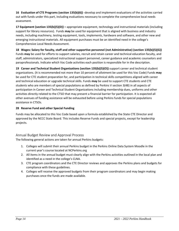**16 Evaluation of CTE Programs (section 135(b)(6))** ‐develop and implement evaluations of the activities carried out with funds under this part, including evaluations necessary to complete the comprehensive local needs assessment.

**17 Equipment (section 135(b)(5)(D)) –** appropriate equipment, technology and instructional materials (including support for library resources). Funds **may** be used for equipment that is aligned with business and industry needs, including machinery, testing equipment, tools, implements, hardware and software, and other new and emerging instructional materials. All equipment purchases must be an identified need in the college's Comprehensive Local Needs Assessment.

**18 Wages: Salary for faculty, staff and other supportive personnel (not Administrative) (section 135(b)(5)(G))**  Funds **may** be used for efforts to support salaries, recruit and retain career and technical education faculty, and staff, administrators, specialized instructional support personnel, career guidance and academic counselors and paraprofessionals. Indicate which Voc Code activities each position is responsible for in the description.

**19 Career and Technical Student Organizations (section 135(b)(5)(O))** support career and technical student organizations. (It is recommended not more than 10 percent of allotment be used for this Voc Code) Funds **may**  be used for CTE student preparation for, and participation in technical skills competitions aligned with career and technical education or upgrade technical skills. Funds **may** be used to support CTE students and CTE students who are members of special populations as defined by Perkins V section 3(48) in all aspects of participation in Career and Technical Student Organizations including membership dues, uniforms and other activities directly related to the CTSO that may present a financial barrier for participation. It is expected all other avenues of funding assistance will be exhausted before using Perkins funds for special populations assistance in CTSOs.

#### **28 Reserve Fund and other Special Funding**

Funds may be allocated to this Voc Code based upon a formula established by the State CTE Director and approved by the NCCC State Board. This includes Reserve Funds and special projects, except for leadership projects.

#### Annual Budget Review and Approval Process

The following general actions are taken for annual Perkins budgets:

- 1. Colleges will submit their annual Perkins budget in the Perkins Online Data System Moodle in the current year's course located at NCPerkins.org
- 2. All items in the annual budget must clearly align with the Perkins activities outlined in the local plan and identified as a need in the college's CLNA.
- 3. CTE program coordinators and the CTE Director reviews and approves the Perkins plans and budgets for compliance with these guidelines.
- 4. Colleges will receive the approved budgets from their program coordinators and may begin making purchases once the funds are made available.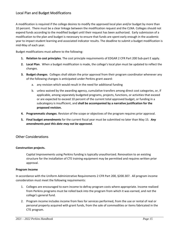#### Local Plan and Budget Modifications

A modification is required if the college desires to modify the approved local plan and/or budget by more than 10 percent. There must be a clear linkage between the modification request and the CLNA. Colleges should not expend funds according to the modified budget until their request has been authorized. Early submission of a modification to the plan and budget is necessary to ensure that funds are spent early enough in the academic year to impact student learning and associated indicator results. The deadline to submit a budget modification is mid‐May of each year.

Budget modifications must adhere to the following:

- **1. Relation to cost principles**. The cost principle requirements of EDGAR 2 CFR Part 200 Sub‐part E apply.
- **2. Local Plan**. When a budget modification is made, the college's local plan must be updated to reflect the changes.
- **3. Budget changes**. Colleges shall obtain the prior approval from their program coordinator whenever any of the following changes is anticipated under Perkins grant award:
	- a. any revision which would result in the need for additional funding
	- b. unless waived by the awarding agency, cumulative transfers among direct cost categories, or, if applicable, among separately budgeted programs, projects, functions, or activities that exceed or are expected to exceed 10 percent of the current total approved budget, or funding in a subcategory is insufficient, and **shall be accompanied by a narrative justification for the proposed revision.**
- **4. Programmatic changes**. Revision of the scope or objectives of the program requires prior approval.
- **5. Final budget amendments** for the current fiscal year must be submitted no later than May 15. *Any amendments past this date may not be approved.*

#### Other Considerations

#### **Construction projects.**

Capital Improvements using Perkins funding is typically unauthorized. Renovation to an existing structure for the installation of CTE training equipment may be permitted and requires written prior approval.

#### **Program Income**

In accordance with the Uniform Administrative Requirements 2 CFR Part 200, §200.307. All program income consideration must meet the following requirements:

- 1. Colleges are encouraged to earn income to defray program costs where appropriate. Income realized from Perkins programs must be rolled back into the program from which it was earned, and not the college's general fund.
- 2. Program income includes income from fees for services performed, from the use or rental of real or personal property acquired with grant funds, from the sale of commodities or items fabricated in the CTE program.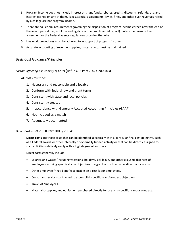- 3. Program income does not include interest on grant funds, rebates, credits, discounts, refunds, etc. and interest earned on any of them. Taxes, special assessments, levies, fines, and other such revenues raised by a college are not program income.
- 4. There are no Federal requirements governing the disposition of program income earned after the end of the award period (i.e., until the ending date of the final financial report), unless the terms of the agreement or the Federal agency regulations provide otherwise.
- 5. Live work procedures must be adhered to in support of program income.
- 6. Accurate accounting of revenue, supplies, material, etc. must be maintained.

#### Basic Cost Guidance/Principles

*Factors Affecting Allowability of Costs* (Ref: 2 CFR Part 200, § 200.403)

All costs must be:

- 1. Necessary and reasonable and allocable
- 2. Conform with federal law and grant terms
- 3. Consistent with state and local policies
- 4. Consistently treated
- 5. In accordance with Generally Accepted Accounting Principles (GAAP)
- 6. Not included as a match
- 7. Adequately documented

#### **Direct Costs** (Ref 2 CFR Part 200, § 200.413)

**Direct costs** are those costs that can be identified specifically with a particular final cost objective, such as a Federal award, or other internally or externally funded activity or that can be directly assigned to such activities relatively easily with a high degree of accuracy.

Direct costs generally include:

- Salaries and wages (including vacations, holidays, sick leave, and other excused absences of employees working specifically on objectives of a grant or contract – i.e, direct labor costs).
- Other employee fringe benefits allocable on direct-labor employees.
- Consultant services contracted to accomplish specific grant/contract objectives.
- Travel of employees.
- Materials, supplies, and equipment purchased directly for use on a specific grant or contract.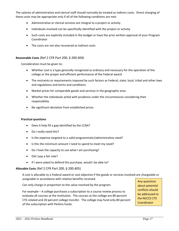The salaries of administrative and clerical staff should normally be treated as indirect costs. Direct charging of these costs may be appropriate only if all of the following conditions are met:

- Administrative or clerical services are integral to a project or activity
- Individuals involved can be specifically identified with the project or activity
- Such costs are explicitly included in the budget or have the prior written approval of your Program Coordinator
- The costs are not also recovered as indirect costs

#### **Reasonable Costs** (Ref 2 CFR Part 200, § 200.404)

Consideration must be given to:

- Whether cost is a type generally recognized as ordinary and necessary for the operation of the college or the proper and efficient performance of the Federal award
- The restraints or requirements imposed by such factors as Federal, state, local, tribal and other laws and regulations and terms and conditions
- Market prices for comparable goods and services in the geographic area
- Whether the individuals acted with prudence under the circumstances considering their responsibility
- No significant deviation from established prices

#### **Practical questions**

- Does it help fill a gap identified by the CLNA?
- Do I really need this?
- Is the expense targeted to a valid programmatic/administrative need?
- Is this the minimum amount I need to spend to meet my need?
- Do I have the capacity to use what I am purchasing?
- Did I pay a fair rate?
- If I were asked to defend this purchase, would I be able to?

#### **Allocable Costs** (Ref 2 CFR Part 200, § 200.405)

A cost is allocable to a Federal award or cost objective if the goods or services involved are chargeable or assignable in accordance with relative benefits received.

Can only charge in proportion to the value received by the program.

For example – A college purchases a subscription to a course review process to evaluate all courses at the institution. The courses at the college are 80 percent CTE‐related and 20 percent college transfer. The college may fund only 80 percent of the subscription with Perkins funds.

Any questions about potential conflicts should be addressed to the NCCCS CTE **Coordinator**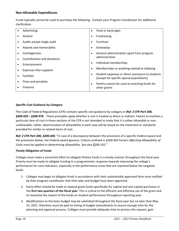#### **Non‐Allowable Expenditures**

Funds typically cannot be used to purchase the following. Contact your Program Coordinator for additional clarification.

| Advertising                 | $\bullet$ | Food or beverages                                                                              |  |
|-----------------------------|-----------|------------------------------------------------------------------------------------------------|--|
| Alcohol                     | ٠         | Fundraising                                                                                    |  |
| Audits except single audit  | ٠         | Furniture                                                                                      |  |
| Awards and memorabilia      | $\bullet$ | Giveaways                                                                                      |  |
| Contingencies               | $\bullet$ | General administration apart from program                                                      |  |
| Contributions and donations |           | administration                                                                                 |  |
| Entertainment               | $\bullet$ | Individual memberships                                                                         |  |
| Expenses that supplant      | $\bullet$ | Memberships or anything related to lobbying                                                    |  |
| <b>Facilities</b>           | $\bullet$ | Student expenses or direct assistance to students<br>(except for specific special populations) |  |
| Fines and penalties         | $\bullet$ | Perkins cannot be used as matching funds for                                                   |  |
| <b>Firearms</b>             |           | other grants                                                                                   |  |

#### **Specific Cost Guidance by Category**

The Code of Federal Regulations (CFR) contains specific cost guidance by category in *Ref: 2 CFR Part 200, §200.420 – §200.476.*  These principles apply whether a cost is treated as direct or indirect. Failure to mention a particular item of cost in these sections of the CFR is not intended to imply that it is either allowable or non‐ unallowable; rather, determination of allowability in each case will be based on the treatment or standards provided for similar or related items of cost.

*Ref: 2 CFR Part 200, §200.420,* "In case of a discrepancy between the provisions of a specific Federal award and the provisions below, the Federal award governs. Criteria outlined in *§200.403 Factors Affecting Allowability of Costs* must be applied in determining allowability. See also §200.102."

#### **Timely Obligation of Funds**

Colleges must make a concerted effort to obligate Perkins funds in a timely manner throughout the fiscal year. Priority must be made to obligate funding in a programmatic response towards improving the college's performance for core indicators, especially in the performance areas that are reported below the targeted levels.

- 1. Colleges may begin to obligate funds in accordance with their substantially approved form once notified by their program coordinator that their plan and budget have been approved.
- 2. Every effort should be made to expend grant funds specifically for capital and non-capital purchases in the **first two quarters of the fiscal year**. This is critical to the efficient and effective use of the grant and to maximize the impact of the funds on student performance throughout reporting year.
- 3. Modifications to the basic budget may be submitted throughout the fiscal year but no later than May 15, 2021. Attention must be paid to timing of budget amendments to ensure enough time for the planning and approval process. Colleges must provide adequate time to process the request, gain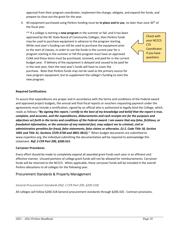approval from their program coordinator, implement the change, obligate, and expend the funds, and prepare to close out the grant for the year.

4. All equipment purchased using Perkins funding must be **in place and in use**, no later than June 30th of the fiscal year.

\*\* If a college is starting a **new program** in the summer or fall, and it has been approved by the NC State Board of Community Colleges, then Perkins funds may be used to purchase equipment in advance to the program starting. While next year's funding can still be used to purchase the equipment prior to the start of classes, in order to use the funds in the current year for a program starting in the summer or fall the program must have an approved CLNA and these items must be purchased, received, and paid for in the current budget year. If delivery of the equipment is delayed and caused to be paid for in the next year, then the next year's funds will have to cover the purchase. Note that Perkins funds may not be used as the primary source for new program equipment, but to supplement the college's funding to start the new program.

Check with your NCCCS **CTE Coordinator** if you have questions

#### **Required Certifications**

To assure that expenditures are proper and in accordance with the terms and conditions of the Federal award and approved project budgets, the annual and final fiscal reports or vouchers requesting payment under the agreements must include a certification, signed by an official who is authorized to legally bind the College, which reads as follows*: "By signing this report, I certify to the best of my knowledge and belief that the report is true, complete, and accurate, and the expenditures, disbursements and cash receipts are for the purposes and objectives set forth in the terms and conditions of the Federal award. I am aware that any false, fictitious, or fraudulent information, or the omission of any material fact, may subject me to criminal, civil or administrative penalties for fraud, false statements, false claims or otherwise. (U.S. Code Title 18, Section 1001 and Title 31, Sections 3729‐3730 and 3801‐3812)."*  When budget documents are submitted to www.ncperkins.org, the individual submitting the documentation will be required to acknowledge this statement. *Ref: 2 CFR Part 200, §200.415.*

#### **Carryover Procedures**

Every effort should be made to completely expend all awarded grant funds each year in an efficient and effective manner. Unused portions of college grant funds will not be allowed for reimbursements. Carryover funds will be returned to the NCCCS. When applicable, these carryover funds will be included in the overall Perkins allocations to all colleges for the following year.

#### Procurement Standards & Property Management

#### *General Procurement Standards (Ref: 2 CFR Part 200, §200.318)*

All colleges will follow §200.318 General procurement standards through §200.326 ‐ Contract provisions.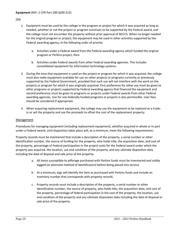#### Use

- 1. Equipment must be used by the college in the program or project for which it was acquired as long as needed, whether or not the project or program continues to be supported by the Federal award, and the college must not encumber the property without prior approval of NCCCS. When no longer needed for the original program or project, the equipment may be used in other activities supported by the Federal awarding agency, in the following order of priority:
	- a. Activities under a Federal award from the Federal awarding agency which funded the original program or Perkins project, then
	- b. Activities under Federal awards from other Federal awarding agencies. This includes consolidated equipment for information technology systems.
- 2. During the time that equipment is used on the project or program for which it was acquired, the college must also make equipment available for use on other projects or programs currently or previously supported by the Federal Government, provided that such use will not interfere with the work on the projects or program for which it was originally acquired. First preference for other use must be given to other programs or projects supported by Federal awarding agency that financed the equipment and second preference must be given to programs or projects under Federal awards from other Federal awarding agencies. Use for non‐federally funded programs or projects is also permissible. User fees should be considered if appropriate.
- 3. When acquiring replacement equipment, the college may use the equipment to be replaced as a trade‐ in or sell the property and use the proceeds to offset the cost of the replacement property.

#### Management

Procedures for managing equipment (including replacement equipment), whether acquired in whole or in part under a Federal award, until disposition takes place will, as a minimum, meet the following requirements:

Property records must be maintained that include a description of the property, a serial number or other identification number, the source of funding for the property, who holds title, the acquisition date, and cost of the property, percentage of Federal participation in the project costs for the Federal award under which the property was acquired, the location, use and condition of the property, and any ultimate disposition data including the date of disposal and sale price of the property.

- a. All items susceptible to pilferage purchased with Perkins funds must be inventoried and visibly tagged (or alternate method of identification) before being placed into service.
- b. At a minimum, tags will identify the item as purchased with Perkins funds and include an inventory number that corresponds with property records.
- c. Property records must include a description of the property, a serial number or other identification number, the source of property, who holds title, the acquisition date, and cost of the property, percentage of federal participation in the cost of the property, the location, use and condition of the property and any ultimate disposition data including the date of disposal or sale price of the property.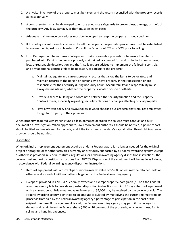- 2. A physical inventory of the property must be taken, and the results reconciled with the property records at least annually.
- 3. A control system must be developed to ensure adequate safeguards to prevent loss, damage, or theft of the property. Any loss, damage, or theft must be investigated.
- 4. Adequate maintenance procedures must be developed to keep the property in good condition.
- 5. If the college is authorized or required to sell the property, proper sales procedures must be established to ensure the highest possible return. Consult the Director of CTE at NCCCS prior to selling.
- 6. Lost, Damaged, or Stolen Items ‐ Colleges must take reasonable precautions to ensure that items purchased with Perkins funding are properly maintained, accounted for, and protected from damage, loss, unreasonable deterioration and theft. Colleges are advised to implement the following controls, and any additional controls felt to be necessary to safeguard the property:
	- a. Maintain adequate and current property records that allow the items to be located, and maintain records of the person or persons who have property in their possession or are responsible for their security during non-duty hours. Accountability and responsibility must always be maintained, whether the property is located on‐site or off‐site.
	- b. Provide a secure building and coordinate between the security function and the Property Control Officer, especially regarding security violations or changes affecting official property.
	- c. Have a written policy and always follow it when checking out property that requires employees to sign for property in their possession.

When property acquired with Perkins funds is lost, damaged or stolen the college must conduct and fully document an investigation. When appropriate, law enforcement authorities should be notified, a police report should be filed and maintained for records, and if the item meets the state's capitalization threshold, insurance provider should be notified.

#### **Disposition**

When original or replacement equipment acquired under a Federal award is no longer needed for the original project or program or for other activities currently or previously supported by a Federal awarding agency, except as otherwise provided in Federal statutes, regulations, or Federal awarding agency disposition instructions, the college must request disposition instructions from NCCCS. Disposition of the equipment will be made as follows, in accordance with Federal awarding agency disposition instructions:

- 1. Items of equipment with a current-per-unit-fair-market value of \$5,000 or less may be retained, sold or otherwise disposed of with no further obligation to the Federal awarding agency.
- 2. Except as provided in §200.312 Federally‐owned and exempt property, paragraph (b), or if the Federal awarding agency fails to provide requested disposition instructions within 120 days, items of equipment with a current per-unit-fair-market value in excess of \$5,000 may be retained by the college or sold. The Federal awarding agency is entitled to an amount calculated by multiplying the current market value or proceeds from sale by the Federal awarding agency's percentage of participation in the cost of the original purchase. If the equipment is sold, the Federal awarding agency may permit the college to deduct and retain from the Federal share \$500 or 10 percent of the proceeds, whichever is less, for its selling and handling expenses.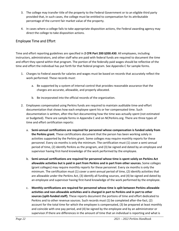- 3. The college may transfer title of the property to the Federal Government or to an eligible third party provided that, in such cases, the college must be entitled to compensation for its attributable percentage of the current fair market value of the property.
- 4. In cases where a college fails to take appropriate disposition actions, the Federal awarding agency may direct the college to take disposition actions.

#### Employee Time and Effort

Time and effort reporting guidelines are specified in **2 CFR Part 200 §200.430**. All employees, including instructors, administrators, and other staff who are paid with federal funds are required to document the time and effort they spend within that program. The portion of the federally paid wages should be reflective of the time and effort the individual has put forth for that federal program. See Appendix C for sample forms.

- 1. Charges to Federal awards for salaries and wages must be based on records that accurately reflect the work performed. These records must:
	- a. Be supported by a system of internal control that provides reasonable assurance that the charges are accurate, allowable, and properly allocated.
	- b. Be incorporated into the official records of the organization.
- 2. Employees compensated using Perkins funds are required to maintain auditable time-and-effort documentation that shows how each employee spent his or her compensated time. Such documentation is written, after‐the‐fact documenting how the time was actually spent (not estimated or budgeted). There are sample forms in Appendix C and on NCPerkins.org. There are three types of time and effort certification reports:
	- a. **Semi‐annual certifications are required for personnel whose compensation is funded solely from the Perkins grant.** These certifications document that the person has been working solely in activities supported by the Perkins grant. Some colleges may require monthly reports for these personnel. Every six months is only the minimum. The certification must (1) cover a semi-annual period of time, (2) identify Perkins as the program, and (3) be signed and dated by an employee and supervisor having first-hand knowledge of the work performed by the employee.
	- b. **Semi‐annual certifications are required for personnel whose time is spent solely on Perkins Act allowable activities but is paid in part from Perkins and in part from other sources.** Some colleges (grant colleges) may require monthly reports for these personnel. Every six months is only the minimum. The certification must (1) cover a semi-annual period of time, (2) identify activities that are allowable under the Perkins Act, (3) identify all funding sources, and (4) be signed and dated by an employee and supervisor having first-hand knowledge of the work performed by the employee.
	- c. **Monthly certifications are required for personnel whose time is split between Perkins allowable activities and non‐allowable activities and is charged in part to Perkins and in part to other sources (split‐funded staff).** These reports document the portions of time and effort dedicated to Perkins and to other revenue sources. Such records must (1) be completed after-the-fact, (2) account for the total time for which the employee is compensated, (3) be prepared at least monthly and coincide with one pay period, and (4) be signed by the employee and by an administrator or supervisor.If there are differences in the amount of time that an individual is reporting and what is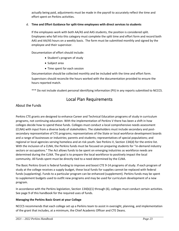actually being paid, adjustments must be made in the payroll to accurately reflect the time and effort spent on Perkins activities.

#### d. **Time and Effort Guidance for split‐time employees with direct services to students**

If the employees work with both AA/AS and AAS students, the position is considered split. Employees who fall into this category must complete the split time and effort form and record both AAS and AA/AS hours on a weekly basis. The form must be submitted monthly and signed by the employee and their supervisor.

Documentation of effort should include:

- Student's program of study
- Subject area
- Time spent for each session

Documentation should be collected monthly and be included with the time and effort form. Supervisors should reconcile the hours worked with the documentation provided to ensure the hours reported match.

\*\*\* Do not include student personal identifying information (PII) in any reports submitted to NCCCS.

### Local Plan Requirements

#### About the Funds

Perkins CTE grants are designed to enhance Career and Technical Education programs of study in curriculum programs, not continuing education. With the implementation of Perkins V there has been a shift in how colleges decide how to spend these funds. Colleges must conduct a local comprehensive needs assessment (CLNA) with input from a diverse body of stakeholders. The stakeholders must include secondary and post‐ secondary representative of CTE programs; representatives of the State or local workforce development boards and a range of businesses or industries; parents and students; representatives of special populations; and regional or local agencies serving homeless and at-risk youth. See Perkins V, Section 134(d) for the entire list. With the inclusion of a CLNA, the Perkins funds must be focused on preparing students for "in-demand industry sectors or occupations." The Act allows funds to be spent on emerging industries as workforce needs are determined during the CLNA. The goal is to prepare the local workforce to positively impact the local community. All funds spent must be directly tied to a need determined by the CLNA.

The Basic Perkins Grant is federal funding to improve and boost CTE 9‐14 programs of study. If each program of study at the college receives a supply budget, these local funds for supplies cannot be replaced with federal funds (supplanting). Funds to a particular program can be enhanced (supplement). Perkins funds may be spent to supplement budgets used to outfit new programs and may be used for curriculum development of a new program.

In accordance with the Perkins legislation, Section 134(b)(1) through (6), colleges must conduct certain activities. See page 9 of this handbook for the required uses of funds.

#### **Managing the Perkins Basic Grant at your College**

NCCCS recommends that each college set up a Perkins team to assist in oversight, planning, and implementation of the grant that includes, at a minimum, the Chief Academic Officer and CTE Deans.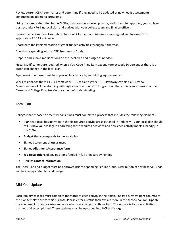Review current CLNA summaries and determine if they need to be updated or new needs assessments conducted on additional programs.

Using the **needs identified in the CLNAs**, collaboratively develop, write, and submit for approval, your college postsecondary Perkins local plan and budget with your college team and finance officer.

Ensure the Perkins Basic Grant Acceptance of Allotment and Assurances are signed and followed with appropriate EDGAR guidance.

Coordinate the implementation of grant‐funded activities throughout the year.

Coordinate spending with all CTE Programs of Study.

Prepare and submit modifications on the local plan and budget as needed.

**Note:** Modifications are required when a Voc. Code / line item expenditure exceeds 10 percent or there is a significant change in the local plan.

Equipment purchases must be approved in advance by submitting equipment lists.

Work to enhance the 9-14 CTE Framework -- HS to CC to Work -- CTE Pathways within CCP. Review Memorandum of Understanding with high schools around CTE Programs of Study, this is an extension of the Career and College Promise Memorandum of Understanding.

#### Local Plan

Colleges that choose to accept Perkins funds must complete a process that includes the following elements:

- **Plan** that describes activities in the six required activity areas outlined in Perkins V your local plan should tell us how your college is addressing these required activities and how each activity meets a need(s) in the CLNA.
- **Budget** that corresponds to the local plan
- Signed Statement of **Assurances**
- Signed **Allotment Acceptance** form
- **Job Descriptions** of any positions funded in full or in part by Perkins
- Perkins **contact information**

The Local Plan and budget must be approved prior to spending Perkins funds. Distribution of any Reserve Funds will be in a separate plan and budget.

#### Mid‐Year Update

Each January colleges must complete the status of each activity in their plan. The two furthest right columns of the plan template are for this purpose. Please enter a status then explain more in the second column. Update the equipment list and salaries and note what was changed on those tabs. This update is to show activities planned and accomplished. These updates must be uploaded into NCPerkins.org.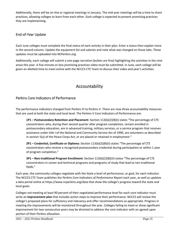Additionally, there will be on‐line or regional meetings in January. The mid‐year meetings will be a time to share practices, allowing colleges to learn from each other. Each college is expected to present promising practices they are implementing.

#### End‐of‐Year Update

Each June colleges must complete the final status of each activity in their plan. Enter a status then explain more in the second column. Update the equipment list and salaries and note what was changed on those tabs. These updates must be uploaded into NCPerkins.org.

Additionally, each college will submit a one‐page narrative (bullets are fine) highlighting the activities in the nine areas this year. A five‐minute‐or‐less promising practices video must be submitted. In June, each college will be given an allotted time to meet online with the NCCCS CTE Team to discuss their video and year's activities.

# Accountability

#### Perkins Core Indicators of Performance

The performance indicators changed from Perkins IV to Perkins V. There are now three accountability measures that are used at both the state and local level. The Perkins V Core Indicators of Performance are:

**1P1 – Postsecondary Retention and Placement**: Section 113(b)(2)(B)(i) states "The percentage of CTE concentrators who, during their second quarter after program completion, remain enrolled in postsecondary education, are in advanced training, military services, or a service program that receives assistance under title I of the National and Community Service Act of 1990, are volunteers as described in section 5(a) of the Peace Corps Act, or are placed or retained in employment."

**2P1 – Credential, Certificate or Diploma**: Section 113(b)(2)(B)(ii) states "The percentage of CTE concentrators who receive a recognized postsecondary credential during participation or within 1 year of program completion."

**3P1 – Non‐traditional Program Enrollment**: Section 113(b)(2)(B)(iii) states "The percentage of CTE concentrators in career and technical programs and programs of study that lead to non‐traditional fields."

Each year, the community colleges negotiate with the State a level of performance, or goal, for each indicator. The NCCCS CTE Team publishes the *Perkins Core Indicators of Performance Report* each year, as well as updates a data portal online at https://www.ncperkins.org/data that show the college's progress toward the state and local goals.

Colleges not meeting at least 90 percent of their negotiated performance level for each core indicator must write an **improvement plan** that includes action steps to improve their performance. NCCCS will review the college's proposed plans for sufficiency and relevancy and offer recommendations as appropriate. Progress in meeting the improvements will be monitored throughout the year. Colleges failing to meet or show significant improvement for two consecutive years may be directed to address the core indicator with an agreed upon portion of their Perkins allocation.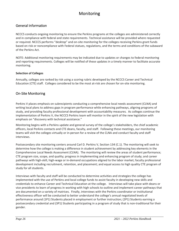# Monitoring

#### General Information

NCCCS conducts ongoing monitoring to ensure the Perkins programs at the colleges are administered correctly and in compliance with federal and state requirements. Technical assistance will be provided where requested or required. NCCCS performs "desktop" and on‐site monitoring for the colleges receiving Perkins grant funds based on risk or noncompliance with Federal statues, regulations, and the terms and conditions of the subaward of the Perkins Act.

NOTE: Additional monitoring requirements may be indicated due to updates or changes to federal monitoring and reporting requirements. Colleges will be notified of these updates in a timely manner to facilitate accurate monitoring.

#### **Selection of Colleges**

Annually, colleges are ranked by risk using a scoring rubric developed by the NCCCS Career and Technical Education (CTE) staff. Colleges considered to be the most at-risk are chosen for on-site monitoring.

#### On‐Site Monitoring

Perkins V places emphasis on subrecipients conducting a comprehensive local needs assessment (CLNA) and writing local plans to address gaps in program performance while enhancing pathways, aligning programs of study, and providing faculty professional development with accountability measures. As colleges continue the implementation of Perkins V, the NCCCS Perkins team will monitor in the spirit of the new legislation with emphasis on "discovery with technical assistance."

Monitoring begins with a Perkins update and general survey of the college's stakeholders, the chief academic officers, local Perkins contacts and CTE deans, faculty, and staff. Following these meetings, our monitoring teams will visit the colleges virtually or in‐person for a review of the CLNA and conduct faculty and staff interviews.

Postsecondary site monitoring centers around Carl D. Perkins V, Section 134 (C.1). The monitoring will seek to determine how the college is making a difference in student achievement by addressing key elements in the Comprehensive Local Needs Assessment (CLNA). The monitoring will review the areas of student performance; CTE program size, scope, and quality; progress in implementing and enhancing program of study; and career pathways with high‐skill, high‐wage or in‐demand occupations aligned to the labor market; faculty professional development including recruitment, retention, and placement; and equal access to high quality CTE program of study for all students.

Interviews with faculty and staff will be conducted to determine activities and strategies the college has implemented with the use of Perkins and local college funds to assist faculty in developing new skills and credentials to enhance Career and Technical Education at the college. Interviews will take place with deans or vice presidents to learn of progress in working with high schools to outline and implement career pathways that are documented on a variety of matrices. Finally, interviews with the Perkins coordinator or institutional effectiveness officer will be conducted to better understand the college's annual negotiated levels of performance around (1P1) Students placed in employment or further instruction; (2P1) Students earning a postsecondary credential and (3P1) Students participating in a program of study that is non-traditional for their gender.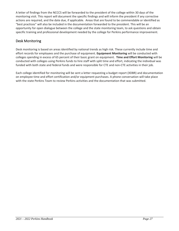A letter of findings from the NCCCS will be forwarded to the president of the college within 30 days of the monitoring visit. This report will document the specific findings and will inform the president if any corrective actions are required, and the date due, if applicable. Areas that are found to be commendable or identified as "best practices" will also be included in the documentation forwarded to the president. This will be an opportunity for open dialogue between the college and the state monitoring team, to ask questions and obtain specific training and professional development needed by the college for Perkins performance improvement.

#### Desk Monitoring

Desk monitoring is based on areas identified by national trends as high risk. These currently include time and effort records for employees and the purchase of equipment. **Equipment Monitoring** will be conducted with colleges spending in excess of 65 percent of their basic grant on equipment. **Time and Effort Monitoring** will be conducted with colleges using Perkins funds to hire staff with split time and effort, indicating the individual was funded with both state and federal funds and were responsible for CTE and non-CTE activities in their job.

Each college identified for monitoring will be sent a letter requesting a budget report (XDBR) and documentation on employee time and effort certification and/or equipment purchases. A phone conversation will take place with the state Perkins Team to review Perkins activities and the documentation that was submitted.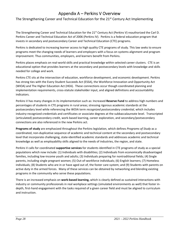# Appendix A – Perkins V Overview

The Strengthening Career and Technical Education for the 21<sup>st</sup> Century Act Implementing

The Strengthening Career and Technical Education for the 21<sup>st</sup> Century Act (Perkins V) reauthorized the Carl D. Perkins Career and Technical Education Act of 2006 (Perkins IV). Perkins is a federal education program that invests in secondary and postsecondary Career and Technical Education (CTE) programs.

Perkins is dedicated to increasing learner access to high quality CTE programs of study. This law seeks to ensure programs meet the changing needs of learners and employers with a focus on systems alignment and program improvement. Thus communities, employers, and learners benefit from Perkins.

Perkins places emphasis on real‐world skills and practical knowledge within selected career clusters. CTE is an educational option that provides learners at the secondary and postsecondary levels with knowledge and skills needed for college and work.

Perkins CTE sits at the intersection of education, workforce development, and economic development. Perkins has strong ties with the Every Student Succeeds Act (ESSA), the Workforce Innovation and Opportunity Act (WIOA) and The Higher Education Act (HEA). These connections occur though coordinated planning and implementation requirements, cross-statute stakeholder input, and aligned definitions and accountability indicators.

Perkins V has many changes in its implementation such as: Increased **Reserve Fund** to address high numbers and percentages of students in CTE programs in rural areas; stressing rigorous academic standards at the postsecondary level while referencing the WOIA term *recognized postsecondary credential,* which includes industry‐recognized credentials and certificates or associate degrees at the subbaccalaureate level. Transcripted (articulated) postsecondary credit, work‐based learning, career exploration, and secondary/postsecondary connections are also referenced in the new Perkins act.

**Programs of study** are emphasized throughout the Perkins legislation, which defines *Programs of Study* as a coordinated, non‐duplicative sequence of academic and technical content at the secondary and postsecondary level that incorporate challenging, state‐identified academic standards and addresses academic and technical knowledge as well as employability skills aligned to the needs of industries, the region, and state.

Perkins V calls for coordinated **supportive services** for students identified in CTE programs of study as a special populations which now include: (1) Individuals with disabilities; (2) Individuals from economically disadvantaged families, including low‐income youth and adults; (3) Individuals preparing for nontraditional fields; (4) Single parents, including single pregnant women; (5) Out‐of‐workforce individuals; (6) English learners; (7) Homeless individuals; (8) Students who are in or have aged out of, the foster care system; and (9) Students with parents on active duty in the armed forces. Many of these services can be obtained by networking and blending existing programs in the community who serve these populations.

There is an increased emphasis on **work‐based learning,** which is clearly defined as sustained interactions with industry or community professionals in real workplace settings (simulated environments as well) that foster in‐ depth, first-hand engagement with the tasks required of a given career field and must be aligned to curriculum and instruction.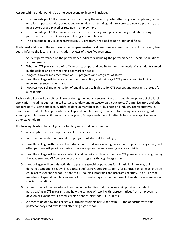**Accountability** under Perkins V at the postsecondary level will include:

- The percentage of CTE concentrators who during the second quarter after program completion, remain enrolled in postsecondary education, are in advanced training, military service, a service program, the peace corps or are placed or retained in employment.
- The percentage of CTE concentrators who receive a recognized postsecondary credential during participation in or within one year of program completion.
- The percentage of CTE concentrators in CTE programs that lead to non-traditional fields.

The largest addition to the new law is the **comprehensive local needs assessment** that is conducted every two years, informs the local plan and includes reviews of these five elements:

- 1) Student performance on the performance indicators including the performance of special populations and subgroups;
- 2) Whether CTE program are of sufficient size, scope, and quality to meet the needs of all students served by the college and are meeting labor market needs;
- 3) Progress toward implementation of CTE programs and programs of study;
- 4) How the college will improve recruitment, retention, and training of CTE professionals including underrepresented groups; and
- 5) Progress toward implementation of equal access to high-quality CTE courses and programs of study for all students.

Each local college will consult local groups during the needs assessment process and development of the local application including but not limited to: 1) secondary and postsecondary educators, 2) administrators and other support staff, 3) state and local workforce development boards, 4) business and industry representatives, 5) parents and students, 6) representatives of special populations, 7) representatives of agencies serving out of school youth, homeless children, and at-risk youth, 8) representatives of Indian Tribes (where applicable), and other stakeholders.

The **local application** to be eligible for funding will include at a minimum:

- 1) a description of the comprehensive local needs assessment,
- 2) Information on state-approved CTE programs of study at the college,
- 3) How the college with the local workforce board and workforce agencies, one stop delivery systems, and other partners will provide a series of career exploration and career guidance activities,
- 4) How the college will improve academic and technical skills of students in CTE programs by strengthening the academic and CTE components of such programs through integration,
- 5) How colleges will provide activities to prepare special populations for high‐skill, high‐wage, or in‐ demand occupations that will lead to self‐sufficiency, prepare students for nontraditional fields, provide equal access for special populations to CTE courses, programs and programs of study, to ensure that members of special populations are not discriminated against on the base of their status as members of special populations,
- 6) A description of the work‐based learning opportunities that the college will provide to students participating in CTE programs and how the college will work with representatives from employers to develop or expand work‐based learning opportunities for CTE students,
- 7) A description of how the college will provide students participating in CTE the opportunity to gain postsecondary credit while still attending high school,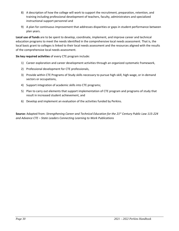- 8) A description of how the college will work to support the recruitment, preparation, retention, and training including professional development of teachers, faculty, administrators and specialized instructional support personnel and
- 9) A plan for continuous improvement that addresses disparities or gaps in student performance between plan years.

**Local use of funds** are to be spent to develop, coordinate, implement, and improve career and technical education programs to meet the needs identified in the comprehensive local needs assessment. That is, the local basic grant to colleges is linked to their local needs assessment and the resources aligned with the results of the comprehensive local needs assessment.

**Six key required activities** of every CTE program include:

- 1) Career exploration and career development activities through an organized systematic framework,
- 2) Professional development for CTE professionals,
- 3) Provide within CTE Programs of Study skills necessary to pursue high-skill, high-wage, or in-demand sectors or occupations,
- 4) Support integration of academic skills into CTE programs;
- 5) Plan to carry out elements that support implementation of CTE program and programs of study that result in increased student achievement, and
- 6) Develop and implement an evaluation of the activities funded by Perkins.

**Source:** Adapted from: *Strengthening Career and Technical Education for the 21st Century Public Law 115‐224 and Advance CTE – State Leaders Connecting Learning to Work Publications*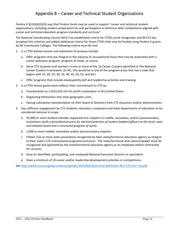# Appendix B – Career and Technical Student Organizations

Perkins V §135(b)(5)(O) says that Perkins funds may be used to support "career and technical student organizations, including student preparation for and participation in technical skills competitions aligned with career and technical education program standards and curricula"

The National Coordinating Council (NCC) has established criteria for CTSOs to be recognized, and NCCCS has accepted this criterion and added additional criteria for those CTSOs that may be funded using Perkins V grants by NC Community Colleges. The following criteria must be met:

- 1. Is a CTSO whose mission and statement of purpose include:
	- a. Offer programs that are integral to the industry or occupational focus that may be associated with a career pathways program, program of study, or course.
	- b. Serve CTE students and teachers in one or more of the 16 Career Clusters identified in The National Career Clusters Framework. (In NC, this would be in one of the program areas that has a code that begins with 15, 20, 25, 30, 35, 40, 45, 50, 55, and 60.)
	- c. Offer programs that include employability skill and leadership activities and training.
- 2. Is a CTSO whose governance reflects their commitment to CTE by:
	- a. Incorporation as a 501(c)(3) not-for-profit corporation in the United States.
	- b. Organizing themselves into state geographic units.
	- c. Having substantial representation on their board of directors from CTE educators and/or administrators.
- 3. Has sufficient engagement by CTE students, educators, employers and state departments of education to be considered national in scope:
	- a. 20,000 or more student member organized into chapters in middle, secondary, and/or postsecondary institutions (*with a formalized process for election/selection of student leaders/officers at the local, state and national levels and a structured program of work*)
	- b. 1,000 or more middle, secondary and/or postsecondary chapters.
	- c. Fifteen (15) or more state associations recognized by their state/territorial education agency as integral to their state's CTE instructional program/curriculum. The state/territorial level advisor/leader must be recognized and approved by the state/territorial education agency as an employee and/or contracted for services.
	- d. Have an identified, participating, and employed National Executive Director or equivalent.
	- e. Have a minimum of 10 career and/or leadership development activities or competitions.

See http://www.ctsos.org/wp-content/uploads/2019/03/2016-Final-Definition-NCC-CTS-JULY-16.pdf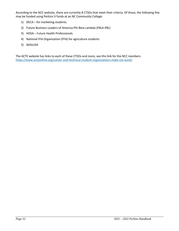According to the NCC website, there are currently 8 CTSOs that meet their criteria. Of those, the following five may be funded using Perkins V funds at an NC Community College:

- 1) DECA for marketing students.
- 2) Future Business Leaders of America‐Phi Beta Lambda (FBLA‐PBL)
- 3) HOSA Future Health Professionals
- 4) National FFA Organization (FFA) for agriculture students
- 5) SkillsUSA

The ACTE website has links to each of these CTSOs and more, see this link for the NCC members https://www.acteonline.org/career‐and‐technical‐student‐organizations‐make‐cte‐work/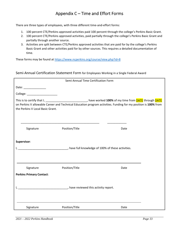# Appendix C – Time and Effort Forms

There are three types of employees, with three different time-and-effort forms:

- 1. 100 percent CTE/Perkins approved activities paid 100 percent through the college's Perkins Basic Grant.
- 2. 100 percent CTE/Perkins approved activities, paid partially through the college's Perkins Basic Grant and partially through another source.
- 3. Activities are split between CTE/Perkins approved activities that are paid for by the college's Perkins Basic Grant and other activities paid for by other sources. This requires a detailed documentation of time.

These forms may be found at https://www.ncperkins.org/course/view.php?id=8

#### Semi-Annual Certification Statement Form for Employees Working in a Single Federal Award

| Semi-Annual Time Certification Form                                                                                                                                                                                                                                              |                                    |      |  |  |
|----------------------------------------------------------------------------------------------------------------------------------------------------------------------------------------------------------------------------------------------------------------------------------|------------------------------------|------|--|--|
| Date: ________________                                                                                                                                                                                                                                                           |                                    |      |  |  |
|                                                                                                                                                                                                                                                                                  |                                    |      |  |  |
| This is to certify that I, _____________________________, have worked 100% of my time from <b>DATE</b> through <b>DATE</b><br>on Perkins V allowable Career and Technical Education program activities. Funding for my position is 100% from<br>the Perkins V Local Basic Grant. |                                    |      |  |  |
| Signature                                                                                                                                                                                                                                                                        | Position/Title                     | Date |  |  |
| Supervisor:                                                                                                                                                                                                                                                                      |                                    |      |  |  |
|                                                                                                                                                                                                                                                                                  |                                    |      |  |  |
| Signature                                                                                                                                                                                                                                                                        | Position/Title                     | Date |  |  |
| <b>Perkins Primary Contact:</b>                                                                                                                                                                                                                                                  |                                    |      |  |  |
|                                                                                                                                                                                                                                                                                  | The reviewed this activity report. |      |  |  |
| Signature                                                                                                                                                                                                                                                                        | Position/Title                     | Date |  |  |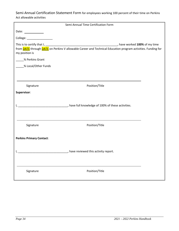Semi-Annual Certification Statement Form for employees working 100 percent of their time on Perkins Act allowable activities

|                                                                                                     | Semi-Annual Time Certification Form                                                                                   |  |
|-----------------------------------------------------------------------------------------------------|-----------------------------------------------------------------------------------------------------------------------|--|
| Date: $\frac{1}{\sqrt{1-\frac{1}{2}}\sqrt{1-\frac{1}{2}}\sqrt{1-\frac{1}{2}}\sqrt{1-\frac{1}{2}}}}$ |                                                                                                                       |  |
| College: ____________________                                                                       |                                                                                                                       |  |
| my position is                                                                                      |                                                                                                                       |  |
| % Perkins Grant                                                                                     |                                                                                                                       |  |
| % Local/Other Funds                                                                                 |                                                                                                                       |  |
|                                                                                                     |                                                                                                                       |  |
| Signature                                                                                           | Position/Title                                                                                                        |  |
| Supervisor:                                                                                         |                                                                                                                       |  |
|                                                                                                     | The Full knowledge of 100% of these activities.                                                                       |  |
| Signature                                                                                           | Position/Title                                                                                                        |  |
| <b>Perkins Primary Contact:</b>                                                                     | <b>Nave reviewed this activity report.</b> The summan profession of the set of the set of the set of the set of the s |  |
| Signature                                                                                           | Position/Title                                                                                                        |  |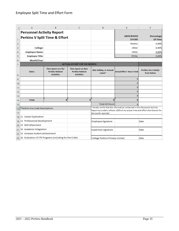|     | А                                                         | B                                                                 | C                                                                        | D                                      | E                                                                                                                                                           | F                                        |
|-----|-----------------------------------------------------------|-------------------------------------------------------------------|--------------------------------------------------------------------------|----------------------------------------|-------------------------------------------------------------------------------------------------------------------------------------------------------------|------------------------------------------|
|     | <b>Personnel Activity Report</b>                          |                                                                   |                                                                          |                                        | <b>ANTICIPATED</b>                                                                                                                                          | Percentage                               |
| 1   |                                                           | <b>Perkins V Split Time &amp; Effort</b>                          |                                                                          |                                        | <b>EFFORT</b>                                                                                                                                               | <b>Of Time</b>                           |
| 2   |                                                           |                                                                   |                                                                          |                                        | <b>Perkins</b>                                                                                                                                              | 0.00%                                    |
| 3   | <b>College:</b>                                           |                                                                   |                                                                          |                                        | Other                                                                                                                                                       | 0.00%                                    |
| 4   | <b>Employee Name:</b>                                     |                                                                   |                                                                          |                                        | Other                                                                                                                                                       | 0.00%                                    |
| 5   | <b>Employee Title:</b>                                    |                                                                   |                                                                          |                                        | <b>TOTAL</b>                                                                                                                                                | 0.00%                                    |
| 6   | Month/Year:                                               |                                                                   |                                                                          |                                        |                                                                                                                                                             |                                          |
| 7   |                                                           |                                                                   | <b>ACTUAL EFFORT FOR THE MONTH</b>                                       |                                        |                                                                                                                                                             |                                          |
| 8   | <b>Dates</b>                                              | Time Spent on CTE/<br><b>Perkins Related</b><br><b>Activities</b> | <b>Time Spent on Non-</b><br><b>Perkins Related</b><br><b>Activities</b> | Sick, Holiday, or Annual<br>Leave*     | <b>Actual Effort Hours Total</b>                                                                                                                            | <b>Perkins Voc Code(s)</b><br>from below |
| 9   |                                                           |                                                                   |                                                                          |                                        | 0                                                                                                                                                           |                                          |
| 10  |                                                           |                                                                   |                                                                          |                                        | o                                                                                                                                                           |                                          |
| 11  |                                                           |                                                                   |                                                                          |                                        | 0                                                                                                                                                           |                                          |
| 12  |                                                           |                                                                   |                                                                          |                                        | 0                                                                                                                                                           |                                          |
| 13  |                                                           |                                                                   |                                                                          |                                        | o                                                                                                                                                           |                                          |
| 14  | <b>Totals</b>                                             | $\bf{0}$                                                          | $\bf{0}$                                                                 | $\bf{0}$                               | 0                                                                                                                                                           |                                          |
| 15  |                                                           |                                                                   |                                                                          | <b>Total All Hours</b>                 |                                                                                                                                                             |                                          |
| 16  | *Perkins Voc Code Descriptions                            |                                                                   |                                                                          |                                        | I hereby certify that the information contained in this Personnel Activity<br>Report accurately reflects 100% of my actual time and effort distribution for |                                          |
| 17  |                                                           |                                                                   |                                                                          | the month reported.                    |                                                                                                                                                             |                                          |
|     | 18 11 Career Exploration                                  |                                                                   |                                                                          |                                        |                                                                                                                                                             |                                          |
| 19  | 12 Professional Development                               |                                                                   |                                                                          | <b>Employee Signature</b>              |                                                                                                                                                             | Date                                     |
|     | 20 13 Skill Attainment                                    |                                                                   |                                                                          |                                        |                                                                                                                                                             |                                          |
| 21. | 14 Academic Integration                                   |                                                                   |                                                                          | Supervisor signature                   |                                                                                                                                                             | Date                                     |
| 22  | 15 Increase student achievement                           |                                                                   |                                                                          |                                        |                                                                                                                                                             |                                          |
|     | 23 16 Evaluation of CTE Programs (including for the CLNA) |                                                                   |                                                                          | <b>College Perkins Primary Contact</b> |                                                                                                                                                             | Date                                     |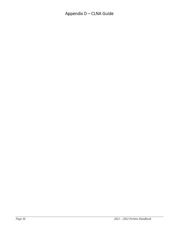# Appendix D – CLNA Guide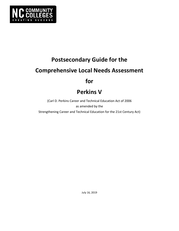

# **Postsecondary Guide for the Comprehensive Local Needs Assessment for**

# **Perkins V**

(Carl D. Perkins Career and Technical Education Act of 2006 as amended by the Strengthening Career and Technical Education for the 21st Century Act)

July 16, 2019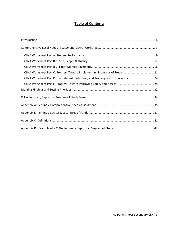# **Table of Contents**

| CLNA Worksheet Part D: Recruitment, Retention, and Training of CTE Educators 24 |  |
|---------------------------------------------------------------------------------|--|
|                                                                                 |  |
|                                                                                 |  |
|                                                                                 |  |
|                                                                                 |  |
|                                                                                 |  |
|                                                                                 |  |
|                                                                                 |  |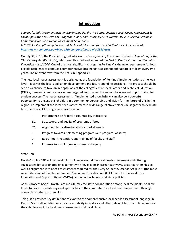# **Introduction**

*Sources for this document include: Maximizing Perkins V's Comprehensive Local Needs Assessment & Local Application to Drive CTE Program Quality and Equity, by ACTE March 2019; Louisiana Perkins V: Comprehensive Local Needs Assessment Guidebook;* 

*H.R.2353 ‐ Strengthening Career and Technical Education for the 21st Century Act available at: https://www.congress.gov/bill/115th‐congress/house‐bill/2353/text* 

On July 31, 2018, the President signed into law the *Strengthening Career and Technical Education for the 21st Century Act* (Perkins V), which reauthorized and amended the *Carl D. Perkins Career and Technical Education Act of 2006*. One of the most significant changes in Perkins V is the new requirement for local eligible recipients to conduct a comprehensive local needs assessment and update it at least every two years. The relevant text from the Act is in Appendix A.

The new local needs assessment is designed as the foundation of Perkins V implementation at the local level—it drives the local application development and future spending decisions. This process should be seen as a chance to take an in-depth look at the college's entire local Career and Technical Education (CTE) system and identify areas where targeted improvements can lead to increased opportunities for student success. The needs assessment, if implemented thoughtfully, can also be a powerful opportunity to engage stakeholders in a common understanding and vision for the future of CTE in the region. To implement the local needs assessment, a wide range of stakeholders must gather to evaluate how the overall CTE programs measure up on:

- A. Performance on federal accountability indicators:
- B1. Size, scope, and quality of programs offered
- B2. Alignment to local/regional labor market needs
- C. Progress toward implementing programs and programs of study
- D. Recruitment, retention, and training of faculty and staff
- E. Progress toward improving access and equity

#### **State Role**

North Carolina CTE will be developing guidance around the local needs assessment and offering suggestions for coordinated engagement with key players in career pathways, sector partnerships, as well as alignment with needs assessments required for the Every Student Succeeds Act (ESSA) (the most recent iteration of the Elementary and Secondary Education Act (ESEA)) and for the Workforce Innovation and Opportunity Act (WIOA), among other federal and state policies.

As this process begins, North Carolina CTE may facilitate collaboration among local recipients, or allow locals to drive intrastate regional approaches to the comprehensive local needs assessment through consortia or other partnerships.

This guide provides key definitions relevant to the comprehensive local needs assessment language in Perkins V as well as definitions for accountability indicators and other relevant terms and time lines for the submission of the local needs assessment and local plans.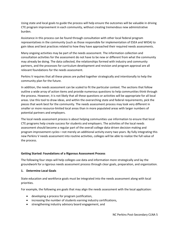Using state and local goals to guide the process will help ensure the outcomes will be valuable in driving CTE program improvement in each community, without creating tremendous new administrative burden.

Assistance in this process can be found through consultation with other local federal program representatives in the community (such as those responsible for implementation of ESEA and WIOA) to gain ideas and best practices related to how they have approached their required needs assessments.

Many ongoing activities may be part of the needs assessment. The information collection and consultation activities for the assessment do not have to be new or different from what the community may already be doing. The data collected, the relationships formed with industry and community partners, and the processes for curriculum development and revision and program approval are all relevant foundations for the needs assessment.

Perkins V requires that all these pieces are pulled together strategically and intentionally to help the community plan for the future.

In addition, the needs assessment can be scaled to fit the particular context. The sections that follow outline a wide array of action items and provide numerous questions to help communities think through the process. However, it is not likely that all these questions or activities will be appropriate for all local areas. Use this tool to draw ideas, and within the overarching state and federal requirements, pick the pieces that work best for the community. The needs assessment process may look very different in smaller or more resource-limited local areas than in more populated areas with larger numbers of potential partners and employers.

The local needs assessment process is about helping communities use information to ensure that local CTE programs help create success for students and employers. The activities of the local needs assessment should become a regular part of the overall college data‐driven decision making and program improvement cycles—not merely an additional activity every two years. By fully integrating this new Perkins V needs assessment into routine activities, colleges will be able to realize the full value of the process.

#### **Getting Started: Foundations of a Rigorous Assessment Process**

The following four steps will help colleges use data and information more strategically and lay the groundwork for a rigorous needs assessment process through clear goals, preparation, and organization.

#### **1. Determine Local Goals**

State education and workforce goals must be integrated into the needs assessment along with local priorities.

For example, the following are goals that may align the needs assessment with the local application:

- developing a process for program justification,
- increasing the number of students earning industry certifications,
- **•** strengthening industry advisory board engagement, and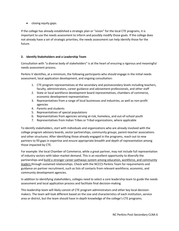• closing equity gaps.

If the college has already established a strategic plan or "vision" for the local CTE programs, it is important to use the needs assessment to inform and possibly modify those goals. If the college does not already have a set of strategic priorities, the needs assessment can help identify those for the future.

#### **2. Identify Stakeholders and a Leadership Team**

Consultation with "a diverse body of stakeholders" is at the heart of ensuring a rigorous and meaningful needs assessment process.

Perkins V identifies, at a minimum, the following participants who should engage in the initial needs assessment, local application development, and ongoing consultation:

- 1. CTE program representatives at the secondary and postsecondary levels including teachers, faculty, administrators, career guidance and advisement professionals, and other staff
- 2. State or local workforce development board representatives, chambers of commerce, economic development representatives
- 3. Representatives from a range of local businesses and industries, as well as non‐profit agencies
- 4. Parents and students
- 5. Representatives of special populations
- 6. Representatives from agencies serving at‐risk, homeless, and out‐of‐school youth
- 7. Representatives from Indian Tribes or Tribal organizations, where applicable

To identify stakeholders, start with individuals and organizations who are already involved with the college program advisory boards, sector partnerships, community groups, parent-teacher associations and other structures. After identifying those already engaged in the programs, reach out to new partners to fill gaps in expertise and ensure appropriate breadth and depth of representation among those impacted by CTE.

For example: the local Chamber of Commerce, while a great partner, may not include full representation of industry sectors with labor‐market demand. This is an excellent opportunity to diversify the partnerships and build a stronger career pathways system among education, workforce, and community leaders through sustained relationships. Check with the NCCCS Perkins Team for requirements and guidance on partner recruitment, such as lists of contacts from relevant workforce, economic, and community development agencies.

In addition to identifying stakeholders, colleges need to select a core leadership team to guide the needs assessment and local application process and facilitate final decision‐making.

This leadership team will likely consist of CTE program administrators and other key local decision‐ makers. The team will look different based on the size and characteristics of each institution, service area or district, but the team should have in‐depth knowledge of the college's CTE programs.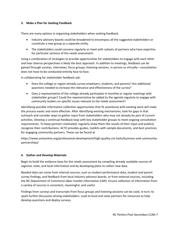#### **3. Make a Plan for Seeking Feedback**

There are many options in organizing stakeholders when seeking feedback.

- Industry advisory boards could be broadened to encompass all the suggested stakeholders or constitute a new group as a separate entity.
- The stakeholders could convene regularly or meet with subsets of partners who have expertise for particular sections of the needs assessment.

Using a combination of strategies to provide opportunities for stakeholders to engage with each other and hear diverse perspectives is likely the best approach. In addition to meetings, feedback can be gained through surveys, interviews, focus groups, listening sessions, in person or virtually—consultation does not have to be conducted entirely face‐to‐face.

In collaborating for stakeholder feedback ask:

- Does the college or region already survey employers, students, and parents? Are additional questions needed to increase the relevance and effectiveness of the survey?
- Does a representative of the college already participate in monthly or regular meetings with stakeholder groups? Could the representative be added to the agenda regularly to engage with community leaders on specific issues relevant to the needs assessment?

Identifying possible information collection opportunities that fit seamlessly with existing work will make the process easier and more effective. After identifying existing mechanisms, look for gaps in that outreach and consider ways to gather input from stakeholders who may not already be part of current activities. Develop a continual feedback loop with key stakeholder groups to meet ongoing consultation requirements. To keep partners motivated, regularly show them the results of their input and publicly recognize their contributions. ACTE provides guides, toolkits with sample documents, and best practices for engaging community partners. These can be found at

https://www.acteonline.org/professional‐development/high‐quality‐cte‐tools/business‐and‐community‐ partnerships/

#### **4. Gather and Develop Materials**

Begin to build the evidence base for the needs assessment by compiling already-available sources of regional, state, and local information and by developing plans to collect new data.

Needed data can come from internal sources, such as student performance data, student and parent survey findings, and feedback from local industry advisory boards, or from external sources, including the NC Department of Commerce labor-market information (LMI). Ensure collection of information from a variety of sources is consistent, meaningful, and useful.

Findings from surveys and transcripts from focus groups and listening sessions can be used, in turn, to spark further discussion among stakeholders. Look to local and state partners for resources to help develop questions and deploy surveys.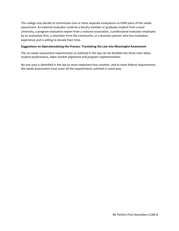The college may decide to commission one or more separate evaluations to fulfill parts of the needs assessment. An external evaluator could be a faculty member or graduate student from a local university, a program evaluation expert from a national association, a professional evaluator employed by an evaluation firm, a volunteer from the community, or a business partner who has evaluation experience and is willing to donate their time.

#### **Suggestions on Operationalizing the Process: Translating the Law into Meaningful Assessment**

The six needs assessment requirements as outlined in the law can be distilled into three main ideas: *student performance, labor‐market alignment* and *program implementation*.

No one area is identified in the law as more important than another, and to meet federal requirements the needs assessment must cover all the requirements outlined in some way.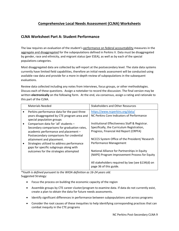# **Comprehensive Local Needs Assessment (CLNA) Worksheets**

### **CLNA Worksheet Part A: Student Performance**

The law requires an evaluation of the student's performance on federal accountability measures in the aggregate and disaggregated for the subpopulations defined in Perkins V. Data must be disaggregated by gender, race and ethnicity, and migrant status (per ESEA), as well as by each of the special populations categories.

Most disaggregated data are collected by self‐report at the postsecondary level. The state data systems currently have limited field capabilities, therefore an initial needs assessment will be conducted using available raw data and provide for a more in‐depth review of subpopulations in the subsequent evaluations.

Review data collected including any notes from interviews, focus groups, or other methodologies. Discuss each of these questions. Assign a notetaker to record the discussion. The final version may be written **electronically** on the following form. At the end, via consensus, assign a rating and rationale to this part of the CLNA.

| <b>Materials Needed</b>                                                                                                                                                                                                                        | <b>Stakeholders and Other Resources</b>                                                                                                                                                                                       |
|------------------------------------------------------------------------------------------------------------------------------------------------------------------------------------------------------------------------------------------------|-------------------------------------------------------------------------------------------------------------------------------------------------------------------------------------------------------------------------------|
| Perkins performance data for the past three<br>years disaggregated by CTE program area and<br>special population groups<br>Comparison data for 'all' students -<br>Secondary comparisons for graduation rates,                                 | https://www.ncperkins.org/data/<br>NC Perkins Core Indicators of Performance<br>Institutional Effectiveness Staff & Registrar.<br>Specifically, the Curriculum Registration,<br>Progress, Financial Aid Report (CRPFA)        |
| academic performance and placement -<br>Postsecondary comparisons for credential<br>attainment and placement.<br>Strategies utilized to address performance<br>gaps for specific subgroups along with<br>outcomes for the strategies attempted | NCCCS System Office of the President/ Research<br>Performance Management<br>National Alliance for Partnerships in Equity<br>(NAPE) Program Improvement Process for Equity<br>All stakeholders required by law (see §134(d) on |
|                                                                                                                                                                                                                                                | page 36 of this guide.                                                                                                                                                                                                        |

*\*Youth is defined pursuant to the WIOA definition as 16‐24 years old.*  Suggested Strategy:

- Focus the process on building the economic capacity of the region
- Assemble groups by CTE career cluster/program to examine data. If data do not currently exist, create a plan to obtain the data for future needs assessments.
- Identify significant differences in performance between subpopulations and across programs
- Consider the root causes of these inequities to help identifying corresponding practices that can combat inequity in the CTE programs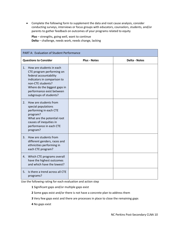Complete the following form to supplement the data and root cause analysis, consider conducting surveys, interviews or focus groups with educators, counselors, students, and/or parents to gather feedback on outcomes of your programs related to equity

**Plus** – strengths, going well, want to continue **Delta** – challenge, needs work, needs change, lacking

| PART A: Evaluation of Student Performance                                                                                                                                                                                                    |                     |                      |  |
|----------------------------------------------------------------------------------------------------------------------------------------------------------------------------------------------------------------------------------------------|---------------------|----------------------|--|
| <b>Questions to Consider</b>                                                                                                                                                                                                                 | <b>Plus - Notes</b> | <b>Delta - Notes</b> |  |
| How are students in each<br>$\mathbf{1}$ .<br>CTE program performing on<br>federal accountability<br>indicators in comparison to<br>non-CTE students?<br>Where do the biggest gaps in<br>performance exist between<br>subgroups of students? |                     |                      |  |
| How are students from<br>2.<br>special populations<br>performing in each CTE<br>program?<br>What are the potential root<br>causes of inequities in<br>performance in each CTE<br>program?                                                    |                     |                      |  |
| How are students from<br>3.<br>different genders, races and<br>ethnicities performing in<br>each CTE program?                                                                                                                                |                     |                      |  |
| Which CTE programs overall<br>4.<br>have the highest outcomes<br>and which have the lowest?                                                                                                                                                  |                     |                      |  |
| Is there a trend across all CTE<br>5.<br>programs?                                                                                                                                                                                           |                     |                      |  |

Use the following rating for each evaluation and action step

**1** Significant gaps and/or multiple gaps exist

- **2** Some gaps exist and/or there is not have a concrete plan to address them
- **3** Very few gaps exist and there are processes in place to close the remaining gaps
- **4** No gaps exist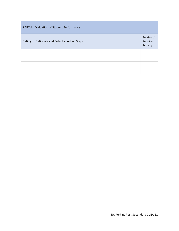| PART A: Evaluation of Student Performance |                                      |                                   |
|-------------------------------------------|--------------------------------------|-----------------------------------|
| Rating                                    | Rationale and Potential Action Steps | Perkins V<br>Required<br>Activity |
|                                           |                                      |                                   |
|                                           |                                      |                                   |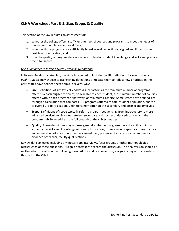# **CLNA Worksheet Part B‐1: Size, Scope, & Quality**

This section of the law requires an assessment of:

- 1. Whether the college offers a sufficient number of courses and programs to meet the needs of the student population and workforce;
- 2. Whether those programs are sufficiently broad as well as vertically aligned and linked to the next level of education; and
- 3. How the quality of program delivery serves to develop student knowledge and skills and prepare them for success.

#### *Use as guidance in forming North Carolinas Definitions:*

In its new Perkins V state plan, the state is required to include specific definitions for *size, scope,* and *quality.* States may choose to use existing definitions or update them to reflect new priorities. In the past, states have defined these terms in several ways:

- **Size:** Definitions of size typically address such factors as the minimum number of programs offered by each eligible recipient, or available to each student; the minimum number of courses offered within each program or pathway; or minimum class size. Some states have defined size through a calculation that compares CTE programs offered to total student population, and/or to overall CTE participation. Definitions may differ on the secondary and postsecondary levels.
- **Scope:** Definitions of scope typically refer to program sequencing, from introductory to more advanced curriculum; linkages between secondary and postsecondary education; and the program's ability to address the full breadth of the subject matter.
- **Quality:** These definitions may address generally whether programs have the ability to impart to students the skills and knowledge necessary for success; or may include specific criteria such as implementation of a continuous improvement plan, presence of an advisory committee, or evidence of teacher/faculty qualifications.

Review data collected including any notes from interviews, focus groups, or other methodologies. Discuss each of these questions. Assign a notetaker to record the discussion. The final version should be written electronically on the following form. At the end, via consensus, assign a rating and rationale to this part of the CLNA.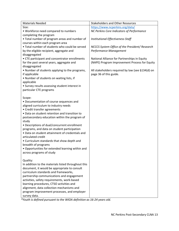| <b>Materials Needed</b>                             | <b>Stakeholders and Other Resources</b>          |
|-----------------------------------------------------|--------------------------------------------------|
| Size:                                               | https://www.ncperkins.org/data/                  |
| • Workforce need compared to numbers                | NC Perkins Core Indicators of Performance        |
| completing the program                              |                                                  |
| • Total number of program areas and number of       | Institutional Effectiveness Staff                |
| courses within each program area                    |                                                  |
| . Total number of students who could be served      | NCCCS System Office of the President/Research    |
| by the eligible recipient, aggregate and            | Performance Management                           |
| disaggregated                                       |                                                  |
| • CTE participant and concentrator enrollments      | National Alliance for Partnerships in Equity     |
| for the past several years, aggregate and           | (NAPE) Program Improvement Process for Equity    |
| disaggregated                                       |                                                  |
| • Number of students applying to the programs,      | All stakeholders required by law (see §134(d) on |
| if applicable                                       | page 36 of this guide.                           |
| . Number of students on waiting lists, if           |                                                  |
| applicable                                          |                                                  |
| • Survey results assessing student interest in      |                                                  |
| particular CTE programs                             |                                                  |
|                                                     |                                                  |
| Scope:                                              |                                                  |
| • Documentation of course sequences and             |                                                  |
| aligned curriculum to industry needs                |                                                  |
| • Credit transfer agreements                        |                                                  |
| • Data on student retention and transition to       |                                                  |
| postsecondary education within the program of       |                                                  |
| study                                               |                                                  |
| • Descriptions of dual/concurrent enrollment        |                                                  |
| programs, and data on student participation         |                                                  |
| • Data on student attainment of credentials and     |                                                  |
| articulated credit                                  |                                                  |
| • Curriculum standards that show depth and          |                                                  |
| breadth of programs                                 |                                                  |
| • Opportunities for extended learning within and    |                                                  |
| across programs of study                            |                                                  |
|                                                     |                                                  |
| Quality:                                            |                                                  |
| In addition to the materials listed throughout this |                                                  |
| document, it would be appropriate to consult        |                                                  |
| curriculum standards and frameworks,                |                                                  |
| partnership communications and engagement           |                                                  |
| activities, safety requirements, work-based         |                                                  |
| learning procedures, CTSO activities and            |                                                  |
| alignment, data collection mechanisms and           |                                                  |
| program improvement processes, and employer         |                                                  |
| survey data.                                        |                                                  |

*\*Youth is defined pursuant to the WIOA definition as 16‐24 years old.*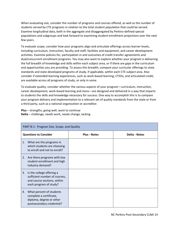When evaluating size, consider the number of programs and courses offered, as well as the number of students served by CTE programs in relation to the total student population that could be served. Examine longitudinal data, both in the aggregate and disaggregated by Perkins‐defined special populations and subgroups and look forward to examining student enrollment projections over the next few years.

To evaluate scope, consider how your programs align and articulate offerings across learner levels, including curriculum, instruction, faculty and staff, facilities and equipment, and career development activities. Examine policies for, participation in and outcomes of credit transfer agreements and dual/concurrent enrollment programs. You may also want to explore whether your program is delivering the full breadth of knowledge and skills within each subject area, or if there are gaps in the curriculum and opportunities you are providing. To assess this breadth, compare your curricular offerings to state standards and state‐developed programs of study, if applicable, within each CTE subject area. Also consider if extended learning experiences, such as work‐based learning, CTSOs, and articulated credit, are available across all programs of study, or only in some.

To evaluate quality, consider whether the various aspects of your program—curriculum, instruction, career development, work‐based learning and more—are designed and delivered in a way that imparts to students the skills and knowledge necessary for success. One way to accomplish this is to compare your program delivery and implementation to a relevant set of quality standards from the state or from a third party, such as a national organization or accreditor.

**Plus** – strengths, going well, want to continue **Delta** – challenge, needs work, needs change, lacking

| PART B-1: Program Size, Scope, and Quality |                                                                                                                     |                     |                      |
|--------------------------------------------|---------------------------------------------------------------------------------------------------------------------|---------------------|----------------------|
|                                            | <b>Questions to Consider</b>                                                                                        | <b>Plus - Notes</b> | <b>Delta - Notes</b> |
| 1.                                         | What are the programs in<br>which students are choosing<br>to enroll and not to enroll?                             |                     |                      |
|                                            | 2. Are there programs with low<br>student enrollment and high<br>industry demand?                                   |                     |                      |
| 3.                                         | Is the college offering a<br>sufficient number of courses,<br>and course sections, within<br>each program of study? |                     |                      |
| 4.                                         | What percent of students<br>complete a certificate,<br>diploma, degree or other<br>postsecondary credential?        |                     |                      |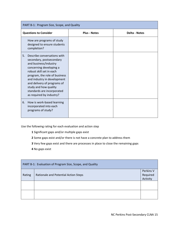| PART B-1: Program Size, Scope, and Quality                                                                                                                                                                                                                                                                                      |                     |                      |  |
|---------------------------------------------------------------------------------------------------------------------------------------------------------------------------------------------------------------------------------------------------------------------------------------------------------------------------------|---------------------|----------------------|--|
| <b>Questions to Consider</b>                                                                                                                                                                                                                                                                                                    | <b>Plus - Notes</b> | <b>Delta - Notes</b> |  |
| How are programs of study<br>designed to ensure students<br>completion?                                                                                                                                                                                                                                                         |                     |                      |  |
| Describe conversations with<br>5.<br>secondary, postsecondary<br>and business/industry<br>concerning developing a<br>robust skill set in each<br>program, the role of business<br>and industry in development<br>and delivery of programs of<br>study and how quality<br>standards are incorporated<br>as required by industry? |                     |                      |  |
| How is work-based learning<br>6.<br>incorporated into each<br>programs of study?                                                                                                                                                                                                                                                |                     |                      |  |

Use the following rating for each evaluation and action step

- **1** Significant gaps and/or multiple gaps exist
- **2** Some gaps exist and/or there is not have a concrete plan to address them
- **3** Very few gaps exist and there are processes in place to close the remaining gaps
- **4** No gaps exist

| PART B-1: Evaluation of Program Size, Scope, and Quality |                                      |                                   |
|----------------------------------------------------------|--------------------------------------|-----------------------------------|
| Rating                                                   | Rationale and Potential Action Steps | Perkins V<br>Required<br>Activity |
|                                                          |                                      |                                   |
|                                                          |                                      |                                   |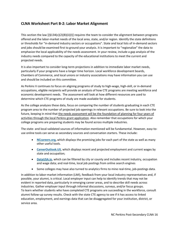### **CLNA Worksheet Part B‐2: Labor Market Alignment**

This section the law  $[(\S 134(c)(2)(B)(ii)(I))]$  requires the team to consider the alignment between programs offered and the labor‐market needs of the local area, state, and/or region. Identify the state definitions or thresholds for "in‐demand industry sectors or occupations". State and local lists of in‐demand sectors and jobs should be examined first to ground your analysis. It is important to "regionalize" the data to emphasize the local applicability of the needs assessment. In your review, include a gap analysis of the industry needs compared to the capacity of the educational institutions to meet the current and projected needs.

It is also important to consider long-term projections in addition to immediate labor market needs, particularly if your programs have a longer time horizon. Local workforce development boards, Chambers of Commerce, and local unions or industry associations may have information you can use and should be included on this committee.

As Perkins V continues to focus on aligning programs of study to high‐wage, high‐skill, or in‐demand occupations, eligible recipients will provide an analysis of how CTE programs are meeting workforce and economic development needs. The assessment will look at how different resources are used to determine which CTE programs of study are made available for students.

As the college analyzes these data, focus on comparing the number of students graduating in each CTE program area to the number of projected job openings in relevant occupations. Be sure to look into the future, keeping in mind that the needs assessment will be the foundation of planning for four years of activities through the local Perkins grant application. Also remember that occupations for which your college programs are preparing students may be found across multiple industries.

The state- and local-validated sources of information mentioned will be fundamental. However, easy-touse online tools can serve as secondary sources and conversation starters. These include:

- **NCcareers.org, which displays the promising jobs for each part of the state as well as many** other useful tools.
- **CareerOutlook.US**, which displays recent and projected employment and current wages by state and occupation;
- **DataUSA.io**, which can be filtered by city or county and includes recent industry, occupation and wage data; and real-time, local job postings from online search engines
- Some colleges may have also turned to analytics firms to mine real-time, job-postings data.

In addition to labor-market information (LMI), feedback from your local industry representatives and, if possible, your alumni, is critical. Local employer input can help to identify trends that may not be evident in reported data, particularly in emerging career areas, and to describe skill needs across industries. Gather employer input through informal discussions, surveys, and/or focus groups. To learn whether students who have completed CTE programs are succeeding in the workforce, consult alumni follow-up survey results. Check with the state CTE agency to see if it has access to linked education, employment, and earnings data that can be disaggregated for your institution, district, or service area.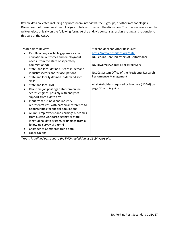Review data collected including any notes from interviews, focus groups, or other methodologies. Discuss each of these questions. Assign a notetaker to record the discussion. The final version should be written electronically on the following form. At the end, via consensus, assign a rating and rationale to this part of the CLNA.

| <b>Materials to Review</b>                    | <b>Stakeholders and other Resources</b>          |
|-----------------------------------------------|--------------------------------------------------|
| Results of any available gap analysis on      | https://www.ncperkins.org/data                   |
| educational outcomes and employment           | NC Perkins Core Indicators of Performance        |
| needs (from the state or separately           |                                                  |
| commissioned)                                 | NC Tower/LEAD data at nccareers.org              |
| State- and local-defined lists of in-demand   |                                                  |
| industry sectors and/or occupations           | NCCCS System Office of the President/ Research   |
| State and locally defined in-demand soft      | Performance Management                           |
| skills                                        |                                                  |
| State and local LMI                           | All stakeholders required by law (see §134(d) on |
| Real-time job postings data from online       | page 36 of this guide.                           |
| search engines, possibly with analytics       |                                                  |
| support from a data firm                      |                                                  |
| Input from business and industry              |                                                  |
| representatives, with particular reference to |                                                  |
| opportunities for special populations         |                                                  |
| Alumni employment and earnings outcomes       |                                                  |
| from a state workforce agency or state        |                                                  |
| longitudinal data system, or findings from a  |                                                  |
| follow-up survey of alumni                    |                                                  |
| Chamber of Commerce trend data                |                                                  |
| Labor Unions                                  |                                                  |

*\*Youth is defined pursuant to the WIOA definition as 16‐24 years old.*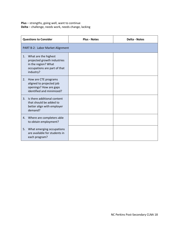**Plus** – strengths, going well, want to continue **Delta** – challenge, needs work, needs change, lacking

| <b>Questions to Consider</b>                                                                                                  | <b>Plus - Notes</b>              | <b>Delta - Notes</b> |  |  |  |
|-------------------------------------------------------------------------------------------------------------------------------|----------------------------------|----------------------|--|--|--|
|                                                                                                                               | PART B-2: Labor Market Alignment |                      |  |  |  |
| What are the highest<br>1.<br>projected growth industries<br>in the region? What<br>occupations are part of that<br>industry? |                                  |                      |  |  |  |
| How are CTE programs<br>2.<br>aligned to projected job<br>openings? How are gaps<br>identified and minimized?                 |                                  |                      |  |  |  |
| Is there additional content<br>$\mathbf{3}$ .<br>that should be added to<br>better align with employer<br>demand?             |                                  |                      |  |  |  |
| Where are completers able<br>4.<br>to obtain employment?                                                                      |                                  |                      |  |  |  |
| What emerging occupations<br>5.<br>are available for students in<br>each program?                                             |                                  |                      |  |  |  |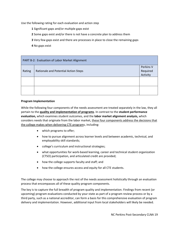Use the following rating for each evaluation and action step

- **1** Significant gaps and/or multiple gaps exist
- **2** Some gaps exist and/or there is not have a concrete plan to address them
- **3** Very few gaps exist and there are processes in place to close the remaining gaps
- **4** No gaps exist

| PART B-2: Evaluation of Labor Market Alignment |                                      |                                   |
|------------------------------------------------|--------------------------------------|-----------------------------------|
| Rating                                         | Rationale and Potential Action Steps | Perkins V<br>Required<br>Activity |
|                                                |                                      |                                   |
|                                                |                                      |                                   |

#### **Program Implementation**

While the following four components of the needs assessment are treated separately in the law, they all pertain to the **quality and implementation of programs**. In contrast to the **student performance evaluation,** which examines student outcomes, and the **labor market alignment analysis,** which considers needs that originate from the labor market, these four components address the decisions that the college makes when delivering CTE programs, including:

- which programs to offer;
- how to pursue alignment across learner levels and between academic, technical, and employability skill standards;
- college's curriculum and instructional strategies;
- what opportunities for work-based learning, career and technical student organization (CTSO) participation, and articulated credit are provided;
- how the college supports faculty and staff; and
- how the college ensures access and equity for all CTE students.

The college may choose to approach the rest of the needs assessment holistically through an evaluation process that encompasses all of these quality program components.

The key is to capture the full breadth of program quality and implementation. Findings from recent (or upcoming) program evaluations conducted by your state as part of a program review process or by a third party, such as a national accreditor, can form a basis for this comprehensive evaluation of program delivery and implementation. However, additional input from local stakeholders will likely be needed.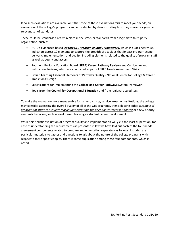If no such evaluations are available, or if the scope of these evaluations fails to meet your needs, an evaluation of the college's programs can be conducted by demonstrating how they measure against a relevant set of standards.

These could be standards already in place in the state, or standards from a legitimate third‐party organization, such as

- ACTE's evidenced based *Quality CTE Program of Study Framework,* which includes nearly 100 indicators across 12 elements to capture the breadth of activities that impact program scope, delivery, implementation, and quality, including elements related to the quality of program staff as well as equity and access.
- Southern Regional Education Board **(SREB) Career Pathway Reviews** and Curriculum and Instruction Reviews, which are conducted as part of SREB Needs Assessment Visits
- **Linked Learning Essential Elements of Pathway Quality** ‐ National Center for College & Career Transitions' Design
- Specifications for Implementing the **College and Career Pathways** System Framework
- Tools from the **Council for Occupational Education** and from regional accreditors

To make the evaluation more manageable for larger districts, service areas, or institutions, the college may consider assessing the overall quality of all of the CTE programs, then selecting either a *sample of programs of study to evaluate individually each time the needs assessment is updated* or a few priority elements to review, such as work‐based learning or student career development.

While this holistic evaluation of program quality and implementation will yield the least duplication, for ease of understanding the requirements as presented in law we have laid out each of the four needs assessment components related to program implementation separately as follows. Included are particular materials to gather and questions to ask about the nature of the college programs with respect to these specific topics. There is some duplication among these four components, which is noted.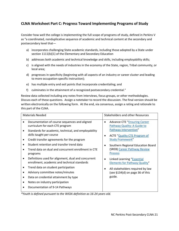# **CLNA Worksheet Part C: Progress Toward Implementing Programs of Study**

Consider how well the college is implementing the full scope of programs of study, defined in Perkins V as "a coordinated, nonduplicative sequence of academic and technical content at the secondary and postsecondary level that—

- a) incorporates challenging State academic standards, including those adopted by a State under section 1111(b)(1) of the Elementary and Secondary Education
- b) addresses both academic and technical knowledge and skills, including employability skills;
- c) is aligned with the needs of industries in the economy of the State, region, Tribal community, or local area;
- d) progresses in specificity (beginning with all aspects of an industry or career cluster and leading to more occupation‐specific instruction);
- e) has multiple entry and exit points that incorporate credentialing; and
- f) culminates in the attainment of a recognized postsecondary credential."

Review data collected including any notes from interviews, focus groups, or other methodologies. Discuss each of these questions. Assign a notetaker to record the discussion. The final version should be written electronically on the following form. At the end, via consensus, assign a rating and rationale to this part of the CLNA.

|           | <b>Materials Needed</b>                                                                             |           | <b>Stakeholders and other Resources</b>                            |
|-----------|-----------------------------------------------------------------------------------------------------|-----------|--------------------------------------------------------------------|
|           | Documentation of course sequences and aligned<br>curriculum for each CTE program                    | $\bullet$ | <b>Advance CTE "Ensuring Career</b><br>Pathway Quality: A Guide to |
| ٠         | Standards for academic, technical, and employability<br>skills taught per course                    | ٠         | Pathway Intervention"<br><b>ACTE "Quality CTE Program of</b>       |
|           | Credit transfer agreements for the program                                                          |           | <b>Study Framework"</b>                                            |
|           | Student retention and transfer trend data                                                           | $\bullet$ | Southern Regional Education Board                                  |
|           | Trend data on dual and concurrent enrollment in CTE<br>programs                                     |           | (SREB) Career Pathway Review<br><b>Process</b>                     |
| ٠         | Definitions used for alignment, dual and concurrent<br>enrollment, academic and technical standards | $\bullet$ | Linked Learning "Essential<br><b>Elements for Pathway Quality"</b> |
| $\bullet$ | Trend data on student participation                                                                 | ٠         | All stakeholders required by law                                   |
| ٠         | Advisory committee notes/minutes                                                                    |           | (see §134(d) on page 36 of this                                    |
| ٠         | Data on credential attainment by type                                                               |           | guide.                                                             |
| ٠         | Notes on industry participation                                                                     |           |                                                                    |
|           | Documentation of 9-14 Pathways                                                                      |           |                                                                    |

*\*Youth is defined pursuant to the WIOA definition as 16‐24 years old.*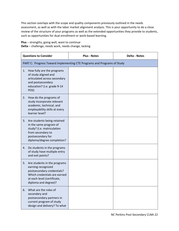This section overlaps with the scope and quality components previously outlined in the needs assessment, as well as with the labor market alignment analysis. This is your opportunity to do a close review of the structure of your programs as well as the extended opportunities they provide to students, such as opportunities for dual enrollment or work‐based learning.

**Plus** – strengths, going well, want to continue **Delta** – challenge, needs work, needs change, lacking

| <b>Questions to Consider</b>                                                                                                                                                  | <b>Plus - Notes</b> | <b>Delta - Notes</b> |  |  |
|-------------------------------------------------------------------------------------------------------------------------------------------------------------------------------|---------------------|----------------------|--|--|
| PART C: Progress Toward Implementing CTE Programs and Programs of Study                                                                                                       |                     |                      |  |  |
| How fully are the programs<br>1.<br>of study aligned and<br>articulated across secondary<br>and postsecondary<br>education? (i.e. grade 9-14<br>POS)                          |                     |                      |  |  |
| How do the programs of<br>2.<br>study incorporate relevant<br>academic, technical, and<br>employability skills at every<br>learner level?                                     |                     |                      |  |  |
| Are students being retained<br>3.<br>in the same program of<br>study? (i.e. matriculation<br>from secondary to<br>postsecondary for<br>diploma/degree completion?             |                     |                      |  |  |
| Do students in the programs<br>4.<br>of study have multiple entry<br>and exit points?                                                                                         |                     |                      |  |  |
| Are students in the programs<br>5.<br>earning recognized<br>postsecondary credentials?<br>Which credentials are earned<br>at each level (certificate,<br>diploma and degree)? |                     |                      |  |  |
| What are the roles of<br>6.<br>secondary and<br>postsecondary partners in<br>current program of study<br>design and delivery? To what                                         |                     |                      |  |  |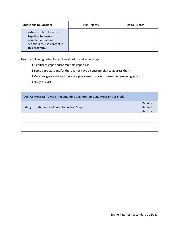| <b>Questions to Consider</b>                                                                                     | <b>Plus - Notes</b> | <b>Delta - Notes</b> |
|------------------------------------------------------------------------------------------------------------------|---------------------|----------------------|
| extend do faculty work<br>together to ensure<br>complementary and<br>seamless course content in<br>this program? |                     |                      |

Use the following rating for each evaluation and action step

- **1** Significant gaps and/or multiple gaps exist
- **2** Some gaps exist and/or there is not have a concrete plan to address them
- **3** Very few gaps exist and there are processes in place to close the remaining gaps
- **4** No gaps exist

| PART C: Progress Toward Implementing CTE Programs and Programs of Study |                                      |                                   |
|-------------------------------------------------------------------------|--------------------------------------|-----------------------------------|
| Rating                                                                  | Rationale and Potential Action Steps | Perkins V<br>Required<br>Activity |
|                                                                         |                                      |                                   |
|                                                                         |                                      |                                   |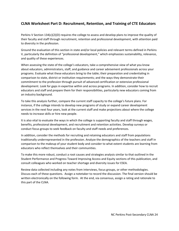# **CLNA Worksheet Part D: Recruitment, Retention, and Training of CTE Educators**

Perkins V Section 134(c)(2)(D) requires the college to assess and develop plans to improve the quality of their faculty and staff through recruitment, retention and professional development, with attention paid to diversity in the profession.

Ground the evaluation of this section in state and/or local policies and relevant terms defined in Perkins V, particularly the definition of "professional development," which emphasizes sustainability, relevance, and quality of these experiences.

When assessing the state of the college's educators, take a comprehensive view of what you know about educators, administrators, staff, and guidance and career advisement professionals across your programs. Evaluate what these educators bring to the table; their preparation and credentialing in comparison to state, district or institution requirements; and the ways they demonstrate their commitment to the profession through pursuit of advanced certification or extensive professional development. Look for gaps in expertise within and across programs. In addition, consider how to recruit educators and staff and prepare them for their responsibilities, particularly new educators coming from an industry background.

To take this analysis further, compare the current staff capacity to the college's future plans. For instance, if the college intends to develop new programs of study or expand career development services in the next four years, look at the current staff and make projections about where the college needs to increase skills or hire new people.

It is also vital to evaluate the ways in which the college is supporting faculty and staff through wages, benefits, professional development, and recruitment and retention activities. Develop surveys or conduct focus groups to seek feedback on faculty and staff needs and preferences.

In addition, consider the methods for recruiting and retaining educators and staff from populations traditionally underrepresented in the profession. Analyze the demographics of the teachers and staff in comparison to the makeup of your student body and consider to what extent students are learning from educators who reflect themselves and their communities.

To make this more robust, conduct a root causes and strategies analysis similar to that outlined in the Student Performance and Progress Toward Improving Access and Equity sections of this publication, and consult colleagues who worked on teacher shortage and diversity issues for ESEA.

Review data collected including any notes from interviews, focus groups, or other methodologies. Discuss each of these questions. Assign a notetaker to record the discussion. The final version should be written electronically on the following form. At the end, via consensus, assign a rating and rationale to this part of the CLNA.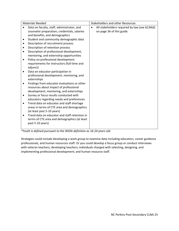|           | <b>Materials Needed</b>                                                   |           | <b>Stakeholders and other Resources</b>       |
|-----------|---------------------------------------------------------------------------|-----------|-----------------------------------------------|
|           | Data on faculty, staff, administrator, and                                | $\bullet$ | All stakeholders required by law (see §134(d) |
|           | counselor preparation, credentials, salaries                              |           | on page 36 of this guide.                     |
|           | and benefits, and demographics                                            |           |                                               |
| ٠         | Student and community demographic data                                    |           |                                               |
| ٠         | Description of recruitment process                                        |           |                                               |
|           | Description of retention process                                          |           |                                               |
|           | Description of professional development,                                  |           |                                               |
|           | mentoring, and externship opportunities                                   |           |                                               |
|           | Policy on professional development                                        |           |                                               |
|           | requirements for instructors (full-time and                               |           |                                               |
|           | adjunct)                                                                  |           |                                               |
|           | Data on educator participation in                                         |           |                                               |
|           | professional development, mentoring, and                                  |           |                                               |
|           | externships                                                               |           |                                               |
| $\bullet$ | Findings from educator evaluations or other                               |           |                                               |
|           | resources about impact of professional                                    |           |                                               |
|           | development, mentoring, and externships                                   |           |                                               |
| $\bullet$ | Survey or focus results conducted with                                    |           |                                               |
|           | educators regarding needs and preferences                                 |           |                                               |
| ٠         | Trend data on educator and staff shortage                                 |           |                                               |
|           | areas in terms of CTE area and demographics<br>(at least past 5-10 years) |           |                                               |
|           | Trend data on educator and staff retention in                             |           |                                               |
|           | terms of CTE area and demographics (at least                              |           |                                               |
|           | past 5-10 years)                                                          |           |                                               |
|           |                                                                           |           |                                               |

*\*Youth is defined pursuant to the WIOA definition as 16‐24 years old.* 

Strategies could include developing a work group to examine data including educators, career guidance professionals, and human resources staff. Or you could develop a focus group or conduct interviews with veteran teachers; developing teachers; individuals charged with selecting, designing, and implementing professional development; and human resource staff.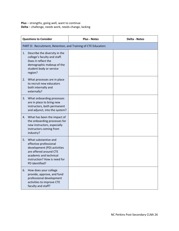**Plus** – strengths, going well, want to continue **Delta** – challenge, needs work, needs change, lacking

| <b>Questions to Consider</b>                                                                                                                                                              | <b>Plus - Notes</b> | <b>Delta - Notes</b> |  |  |
|-------------------------------------------------------------------------------------------------------------------------------------------------------------------------------------------|---------------------|----------------------|--|--|
| PART D: Recruitment, Retention, and Training of CTE Educators                                                                                                                             |                     |                      |  |  |
| Describe the diversity in the<br>1.<br>college's faculty and staff.<br>Does it reflect the<br>demographic makeup of the<br>student body or service<br>region?                             |                     |                      |  |  |
| What processes are in place<br>2.<br>to recruit new educators<br>both internally and<br>externally?                                                                                       |                     |                      |  |  |
| 3.<br>What onboarding processes<br>are in place to bring new<br>instructors, both permanent<br>and adjunct, into the system?                                                              |                     |                      |  |  |
| What has been the impact of<br>4.<br>the onboarding processes for<br>new instructors, especially<br>instructors coming from<br>industry?                                                  |                     |                      |  |  |
| 5.<br>What substantive and<br>effective professional<br>development (PD) activities<br>are offered around CTE<br>academic and technical<br>instruction? How is need for<br>PD identified? |                     |                      |  |  |
| 6.<br>How does your college<br>provide, approve, and fund<br>professional development<br>activities to improve CTE<br>faculty and staff?                                                  |                     |                      |  |  |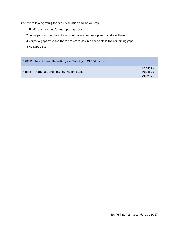Use the following rating for each evaluation and action step

- **1** Significant gaps and/or multiple gaps exist
- **2** Some gaps exist and/or there is not have a concrete plan to address them
- **3** Very few gaps exist and there are processes in place to close the remaining gaps
- **4** No gaps exist

| PART D: Recruitment, Retention, and Training of CTE Educators |                                      |                                   |
|---------------------------------------------------------------|--------------------------------------|-----------------------------------|
| Rating                                                        | Rationale and Potential Action Steps | Perkins V<br>Required<br>Activity |
|                                                               |                                      |                                   |
|                                                               |                                      |                                   |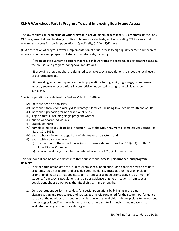# **CLNA Worksheet Part E: Progress Toward Improving Equity and Access**

The law requires an **evaluation of your progress in providing equal access to CTE programs**, particularly CTE programs that lead to strong positive outcomes for students, and in providing CTE in a way that maximizes success for special populations. Specifically, §134(c)(2)(E) says

(E) A description of progress toward implementation of equal access to high‐quality career and technical education courses and programs of study for all students, including—

(i) strategies to overcome barriers that result in lower rates of access to, or performance gaps in, the courses and programs for special populations;

(ii) providing programs that are designed to enable special populations to meet the local levels of performance; and

(iii) providing activities to prepare special populations for high‐skill, high‐wage, or in‐demand industry sectors or occupations in competitive, integrated settings that will lead to self‐ sufficiency.

Special populations are defined by Perkins V Section 3(48) as

- (A) Individuals with disabilities;
- (B) individuals from economically disadvantaged families, including low‐income youth and adults;
- (C) individuals preparing for non‐traditional fields;
- (D) single parents, including single pregnant women;
- (E) out‐of‐workforce individuals;
- (F) English learners;
- (G) homeless individuals described in section 725 of the McKinney‐Vento Homeless Assistance Act (42 U.S.C. 11434a);
- (H) youth who are in, or have aged out of, the foster care system; and
- (I) youth with a parent who  $-$ 
	- (i) is a member of the armed forces (as such term is defined in section  $101(a)(4)$  of title 10, United States Code); and
	- (ii) is on active duty (as such term is defined in section  $101(d)(1)$  of such title.

This component can be broken down into three subsections: **access, performance, and program delivery**.

- 1. Look at participation data for students from special populations and consider how to promote programs, recruit students, and provide career guidance. Strategies for inclusion include promotional materials that depict students from special populations, active recruitment of students from special populations, and career guidance that helps students from special populations choose a pathway that fits their goals and strengths.
- 2. Consider student performance data for special populations by bringing in the data disaggregation and root causes and strategies analysis conducted for the Student Performance section of the needs assessment. In consultation with stakeholders, develop plans to implement the strategies identified through the root causes and strategies analysis and measures to evaluate the progress on those strategies.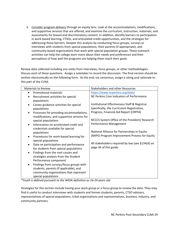3. Consider program delivery through an equity lens. Look at the accommodations, modifications, and supportive services that are offered, and examine the curriculum, instruction, materials, and assessments for biased and discriminatory content. In addition, identify barriers to participation in work‐based learning, CTSOs, and articulated credit opportunities, and the strategies for addressing those barriers. Deepen this analysis by conducting focus groups, surveys or interviews with students from special populations, their parents (if appropriate), and community‐based organizations that work with special population groups. These outreach activities can help the college learn more about their needs and preferences and their perceptions of how well the programs are helping them reach their goals.

Review data collected including any notes from interviews, focus groups, or other methodologies. Discuss each of these questions. Assign a notetaker to record the discussion. The final version should be written electronically on the following form. At the end, via consensus, assign a rating and rationale to this part of the CLNA.

| <b>Materials to Review</b>                           | <b>Stakeholders and other Resources</b>          |
|------------------------------------------------------|--------------------------------------------------|
| <b>Promotional materials</b><br>$\bullet$            | https://www.ncperkins.org/data/                  |
| Recruitment activities for special                   | NC Perkins Core Indicators of Performance        |
| populations                                          |                                                  |
| Career guidance activities for special               | Institutional Effectiveness Staff & Registrar.   |
| populations                                          | Specifically, the Curriculum Registration,       |
| Processes for providing accommodations,<br>$\bullet$ | Progress, Financial Aid Report (CRPFA)           |
| modifications, and supportive services for           |                                                  |
| special populations                                  | NCCCS System Office of the President/ Research   |
| Information on accelerated credit and<br>$\bullet$   | Performance Management                           |
| credentials available for special                    |                                                  |
| populations                                          | National Alliance for Partnerships in Equity     |
| Procedures for work-based learning for               | (NAPE) Program Improvement Process for Equity    |
| special populations                                  |                                                  |
| Data on participation and performance<br>$\bullet$   | All stakeholders required by law (see §134(d) on |
| for students from special populations                | page 36 of this guide.                           |
| Findings from the root causes and<br>$\bullet$       |                                                  |
| strategies analysis from the Student                 |                                                  |
| Performance component                                |                                                  |
| Findings from surveys/focus groups with<br>$\bullet$ |                                                  |
| students, parents (if applicable), and               |                                                  |
| community organizations that represent               |                                                  |
| special populations                                  |                                                  |

*\*Youth is defined pursuant to the WIOA definition as 16‐24 years old.* 

Strategies for this section include having your work group or a focus group to review the data. They may find it useful to conduct interviews with students and former students, parents, CTSO advisors, representatives of special populations, tribal organizations and representatives, business, industry, and community partners.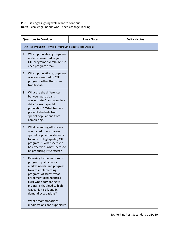**Plus** – strengths, going well, want to continue **Delta** – challenge, needs work, needs change, lacking

| <b>Questions to Consider</b>                                                                                                                                                                                                                                                           | <b>Plus - Notes</b> | <b>Delta - Notes</b> |  |  |
|----------------------------------------------------------------------------------------------------------------------------------------------------------------------------------------------------------------------------------------------------------------------------------------|---------------------|----------------------|--|--|
| PART E: Progress Toward Improving Equity and Access                                                                                                                                                                                                                                    |                     |                      |  |  |
| Which population groups are<br>1.<br>underrepresented in your<br>CTE programs overall? And in<br>each program area?                                                                                                                                                                    |                     |                      |  |  |
| Which population groups are<br>2.<br>over-represented in CTE<br>programs other than non-<br>traditional?                                                                                                                                                                               |                     |                      |  |  |
| What are the differences<br>3.<br>between participant,<br>concentrator* and completer<br>data for each special<br>population? What barriers<br>prevent students from<br>special populations from<br>completing?                                                                        |                     |                      |  |  |
| What recruiting efforts are<br>4.<br>conducted to encourage<br>special population students<br>to enroll in high quality CTE<br>programs? What seems to<br>be effective? What seems to<br>be producing little effect?                                                                   |                     |                      |  |  |
| Referring to the sections on<br>5.<br>program quality, labor<br>market needs, and progress<br>toward implementing<br>programs of study, what<br>enrollment discrepancies<br>exist when comparing to<br>programs that lead to high-<br>wage, high-skill, and in-<br>demand occupations? |                     |                      |  |  |
| What accommodations,<br>6.<br>modifications and supportive                                                                                                                                                                                                                             |                     |                      |  |  |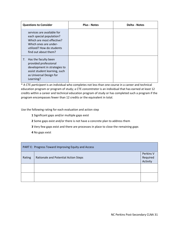| <b>Questions to Consider</b>                                                                                                                                      | <b>Plus - Notes</b> | <b>Delta - Notes</b> |
|-------------------------------------------------------------------------------------------------------------------------------------------------------------------|---------------------|----------------------|
| services are available for<br>each special population?<br>Which are most effective?<br>Which ones are under-<br>utilized? How do students<br>find out about them? |                     |                      |
| Has the faculty been<br>7.<br>provided professional<br>development in strategies to<br>assist student learning, such<br>as Universal Design for<br>Learning?      |                     |                      |

\* A CTE *participant* is an individual who completes not less than one course in a career and technical education program or program of study; a CTE *concentrator* is an individual that has earned at least 12 credits within a career and technical education program of study or has completed such a program if the program encompasses fewer than 12 credits or the equivalent in total.

Use the following rating for each evaluation and action step

- **1** Significant gaps and/or multiple gaps exist
- **2** Some gaps exist and/or there is not have a concrete plan to address them
- **3** Very few gaps exist and there are processes in place to close the remaining gaps
- **4** No gaps exist

| PART E: Progress Toward Improving Equity and Access |                                      |                                   |
|-----------------------------------------------------|--------------------------------------|-----------------------------------|
| Rating                                              | Rationale and Potential Action Steps | Perkins V<br>Required<br>Activity |
|                                                     |                                      |                                   |
|                                                     |                                      |                                   |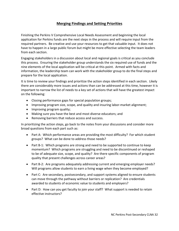# **Merging Findings and Setting Priorities**

Finishing the Perkins V Comprehensive Local Needs Assessment and beginning the local application for Perkins funds are the next steps in the process and will require input from the required partners. Be creative and use your resources to get that valuable input. It does not have to happen in a large public forum but might be more effective selecting the team leaders from each section.

Engaging stakeholders in a discussion about local and regional goals is critical as you conclude this process. Ensuring the stakeholder group understands the six required use of funds and the nine elements of the local application will be critical at this point. Armed with facts and information, the leadership team can work with the stakeholder group to do the final steps and prepare for the local application.

It is time to review your findings and prioritize the action steps identified in each section. Likely there are considerably more issues and actions than can be addressed at this time, however it is important to narrow the list of needs to a key set of actions that will have the greatest impact on the following:

- Closing performance gaps for special population groups;
- Improving program size, scope, and quality and insuring labor-market alignment;
- Improving program quality;
- Making sure you have the best and most diverse educators; and
- Removing barriers that reduce access and success.

In prioritizing the action steps, go back to the notes from your discussions and consider more broad questions from each part such as:

- Part A: Which performance areas are providing the most difficulty? For which student groups? What can be done to address those needs?
- Part B-1: Which programs are strong and need to be supported to continue to keep momentum? Which programs are struggling and need to be discontinued or reshaped to be of adequate size, scope, and quality? Are there specific components of program quality that present challenges across career areas?
- Part B-2: Are programs adequately addressing current and emerging employer needs? Will programs allow students to earn a living wage when they become employed?
- Part C: Are secondary, postsecondary, and support systems aligned to ensure students can move through the pathway without barriers or replication? Are credentials awarded to students of economic value to students and employers?
- Part D: How can you get faculty to join your staff? What support is needed to retain effective instructors?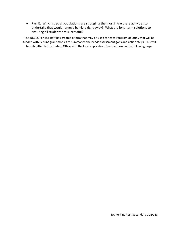Part E: Which special populations are struggling the most? Are there activities to undertake that would remove barriers right away? What are long-term solutions to ensuring all students are successful?

The NCCCS Perkins staff has created a form that may be used for each Program of Study that will be funded with Perkins grant monies to summarize the needs assessment gaps and action steps. This will be submitted to the System Office with the local application. See the form on the following page.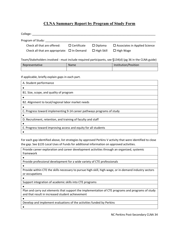## **CLNA Summary Report by Program of Study Form**

| College:                                                                                               |                    |                   |                                         |  |  |
|--------------------------------------------------------------------------------------------------------|--------------------|-------------------|-----------------------------------------|--|--|
| Program of Study:                                                                                      |                    |                   |                                         |  |  |
| Check all that are offered:                                                                            | $\Box$ Certificate | $\square$ Diploma | $\square$ Associates in Applied Science |  |  |
| Check all that are appropriate: $\Box$ In-Demand                                                       |                    | $\Box$ High Skill | $\Box$ High Wage                        |  |  |
| Team/Stakeholders involved - must include required participants, see §134(d) (pg 36 in the CLNA guide) |                    |                   |                                         |  |  |
| Representative                                                                                         | Name               |                   | Institution/Position                    |  |  |
|                                                                                                        |                    |                   |                                         |  |  |
|                                                                                                        |                    |                   |                                         |  |  |

If applicable, briefly explain gaps in each part.

| A. Student performance                                                 |
|------------------------------------------------------------------------|
|                                                                        |
| B1. Size, scope, and quality of program                                |
|                                                                        |
| B2. Alignment to local/regional labor market needs                     |
|                                                                        |
| C. Progress toward implementing 9-14 career pathways programs of study |
|                                                                        |
| D. Recruitment, retention, and training of faculty and staff           |
|                                                                        |
| E. Progress toward improving access and equity for all students        |
|                                                                        |

For each gap identified above, list strategies by approved Perkins V activity that were identified to close the gap. See §135 Local Uses of Funds for additional information on approved activities.

Provide career exploration and career development activities through an organized, systemic framework  $\bullet$ Provide professional development for a wide variety of CTE professionals  $\bullet$ 

Provide within CTE the skills necessary to pursue high‐skill, high‐wage, or in‐demand industry sectors or occupations

 $\bullet$ 

Support integration of academic skills into CTE programs

 $\bullet$ 

Plan and carry out elements that support the implementation of CTE programs and programs of study and that result in increased student achievement

 $\bullet$ 

Develop and implement evaluations of the activities funded by Perkins

 $\bullet$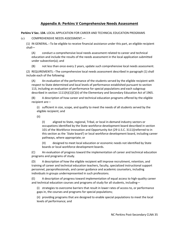## **Appendix A: Perkins V Comprehensive Needs Assessment**

**Perkins V Sec. 134.** LOCAL APPLICATION FOR CAREER AND TECHNICAL EDUCATION PROGRAMS

(c) COMPREHENSIVE NEEDS ASSESSMENT.—

(1) IN GENERAL.‐‐To be eligible to receive financial assistance under this part, an eligible recipient shall—

(A) conduct a comprehensive local needs assessment related to career and technical education and include the results of the needs assessment in the local application submitted under subsection(a); and

(B) not less than once every 2 years, update such comprehensive local needs assessment.

(2) REQUIREMENTS.‐‐The comprehensive local needs assessment described in paragraph (1) shall include each of the following:

(A) An evaluation of the performance of the students served by the eligible recipient with respect to State determined and local levels of performance established pursuant to section 113, including an evaluation of performance for special populations and each subgroup described in section 1111(h)(1)(C)(ii) of the Elementary and Secondary Education Act of 1965.

(B) A description of how career and technical education programs offered by the eligible recipient are—

(i) sufficient in size, scope, and quality to meet the needs of all students served by the eligible recipient; and

(ii)

(I) aligned to State, regional, Tribal, or local in‐demand industry sectors or occupations identified by the State workforce development board described in section 101 of the Workforce Innovation and Opportunity Act (29 U.S.C. 3111)(referred to in this section as the `State board') or local workforce development board, including career pathways, where appropriate; or

(II) designed to meet local education or economic needs not identified by State boards or local workforce development boards.

(C) An evaluation of progress toward the implementation of career and technical education programs and programs of study.

(D) A description of how the eligible recipient will improve recruitment, retention, and training of career and technical education teachers, faculty, specialized instructional support personnel, paraprofessionals, and career guidance and academic counselors, including individuals in groups underrepresented in such professions.

(E) A description of progress toward implementation of equal access to high‐quality career and technical education courses and programs of study for all students, including—

(i) strategies to overcome barriers that result in lower rates of access to, or performance gaps in, the courses and programs for special populations;

(ii) providing programs that are designed to enable special populations to meet the local levels of performance; and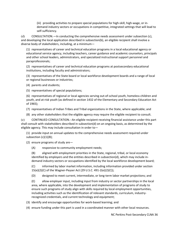(iii) providing activities to prepare special populations for high‐skill, high‐wage, or in‐ demand industry sectors or occupations in competitive, integrated settings that will lead to self‐sufficiency.

(d) CONSULTATION.—In conducting the comprehensive needs assessment under subsection (c), and developing the local application described in subsection(b), an eligible recipient shall involve a diverse body of stakeholders, including, at a minimum—

(1) representatives of career and technical education programs in a local educational agency or educational service agency, including teachers, career guidance and academic counselors, principals and other school leaders, administrators, and specialized instructional support personnel and paraprofessionals;

(2) representatives of career and technical education programs at postsecondary educational institutions, including faculty and administrators;

(3) representatives of the State board or local workforce development boards and a range of local or regional businesses or industries;

(4) parents and students;

(5) representatives of special populations;

(6) representatives of regional or local agencies serving out‐of‐school youth, homeless children and youth, and at‐risk youth (as defined in section 1432 of the Elementary and Secondary Education Act of 1965);

- (7) representatives of Indian Tribes and Tribal organizations in the State, where applicable; and
- (8) any other stakeholders that the eligible agency may require the eligible recipient to consult.

(e) CONTINUED CONSULTATION.‐‐An eligible recipient receiving financial assistance under this part shall consult with stakeholders described in subsection(d) on an ongoing basis, as determined by the eligible agency. This may include consultation in order to—

(1) provide input on annual updates to the comprehensive needs assessment required under subsection (c)(1)(B);

- (2) ensure programs of study are—
	- (A) responsive to community employment needs;

(B) aligned with employment priorities in the State, regional, tribal, or local economy identified by employers and the entities described in subsection(d), which may include in‐ demand industry sectors or occupations identified by the local workforce development board;

(C) informed by labor market information, including information provided under section 15(e)(2)(C) of the Wagner‐Peyser Act (29 U.S.C. 491‐2(e)(2)(C));

(D) designed to meet current, intermediate, or long‐term labor market projections; and

(E) allow employer input, including input from industry or sector partnerships in the local area, where applicable, into the development and implementation of programs of study to ensure such programs of study align with skills required by local employment opportunities, including activities such as the identification of relevant standards, curriculum, industry‐ recognized credentials, and current technology and equipment;

(3) identify and encourage opportunities for work‐based learning; and

(4) ensure funding under this part is used in a coordinated manner with other local resources.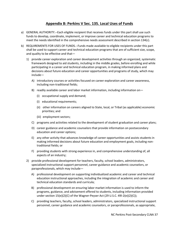## **Appendix B: Perkins V Sec. 135. Local Uses of Funds**

- a) GENERAL AUTHORITY.‐‐Each eligible recipient that receives funds under this part shall use such funds to develop, coordinate, implement, or improve career and technical education programs to meet the needs identified in the comprehensive needs assessment described in section 134(c).
- b) REQUIREMENTS FOR USES OF FUNDS.--Funds made available to eligible recipients under this part shall be used to support career and technical education programs that are of sufficient size, scope, and quality to be effective and that—
	- 1) provide career exploration and career development activities through an organized, systematic framework designed to aid students, including in the middle grades, before enrolling and while participating in a career and technical education program, in making informed plans and decisions about future education and career opportunities and programs of study, which may include—
		- A) introductory courses or activities focused on career exploration and career awareness, including non‐traditional fields;
		- B) readily available career and labor market information, including information on—
			- (i) occupational supply and demand;
			- (i) educational requirements;
			- (ii) other information on careers aligned to State, local, or Tribal (as applicable) economic priorities; and
			- (iii) employment sectors;
		- C) programs and activities related to the development of student graduation and career plans;
		- D) career guidance and academic counselors that provide information on postsecondary education and career options;
		- E) any other activity that advances knowledge of career opportunities and assists students in making informed decisions about future education and employment goals, including non‐ traditional fields; or
		- F) providing students with strong experience in, and comprehensive understanding of, all aspects of an industry;
	- 2) provide professional development for teachers, faculty, school leaders, administrators, specialized instructional support personnel, career guidance and academic counselors, or paraprofessionals, which may include—
		- A) professional development on supporting individualized academic and career and technical education instructional approaches, including the integration of academic and career and technical education standards and curricula;
		- B) professional development on ensuring labor market information is used to inform the programs, guidance, and advisement offered to students, including information provided under section 15(e)(2)(C) of the Wagner-Peyser Act (29 U.S.C. 49I-2(e)(2)(C));
		- C) providing teachers, faculty, school leaders, administrators, specialized instructional support personnel, career guidance and academic counselors, or paraprofessionals, as appropriate,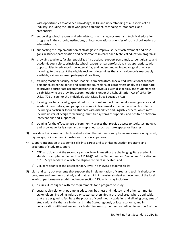with opportunities to advance knowledge, skills, and understanding of all aspects of an industry, including the latest workplace equipment, technologies, standards, and credentials;

- D) supporting school leaders and administrators in managing career and technical education programs in the schools, institutions, or local educational agencies of such school leaders or administrators;
- E) supporting the implementation of strategies to improve student achievement and close gaps in student participation and performance in career and technical education programs;
- F) providing teachers, faculty, specialized instructional support personnel, career guidance and academic counselors, principals, school leaders, or paraprofessionals, as appropriate, with opportunities to advance knowledge, skills, and understanding in pedagogical practices, including, to the extent the eligible recipient determines that such evidence is reasonably available, evidence‐based pedagogical practices;
- G) training teachers, faculty, school leaders, administrators, specialized instructional support personnel, career guidance and academic counselors, or paraprofessionals, as appropriate, to provide appropriate accommodations for individuals with disabilities, and students with disabilities who are provided accommodations under the Rehabilitation Act of 1973 (29 U.S.C. 701 et seq.) or the Individuals with Disabilities Education Act;
- H) training teachers, faculty, specialized instructional support personnel, career guidance and academic counselors, and paraprofessionals in frameworks to effectively teach students, including a particular focus on students with disabilities and English learners, which may include universal design for learning, multi-tier systems of supports, and positive behavioral interventions and support; or
- I) training for the effective use of community spaces that provide access to tools, technology, and knowledge for learners and entrepreneurs, such as makerspaces or libraries;
- 3) provide within career and technical education the skills necessary to pursue careers in high‐skill, high-wage, or in-demand industry sectors or occupations;
- 4) support integration of academic skills into career and technical education programs and programs of study to support—
	- A) CTE participants at the secondary school level in meeting the challenging State academic standards adopted under section 1111(b)(1) of the Elementary and Secondary Education Act of 1965 by the State in which the eligible recipient is located; and
	- B) CTE participants at the postsecondary level in achieving academic skills;
- 5) plan and carry out elements that support the implementation of career and technical education programs and programs of study and that result in increasing student achievement of the local levels of performance established under section 113, which may include—
	- A) a curriculum aligned with the requirements for a program of study;
	- B) sustainable relationships among education, business and industry, and other community stakeholders, including industry or sector partnerships in the local area, where applicable, that are designed to facilitate the process of continuously updating and aligning programs of study with skills that are in demand in the State, regional, or local economy, and in collaboration with business outreach staff in one‐stop centers, as defined in section 3 of the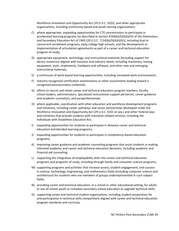Workforce Innovation and Opportunity Act (29 U.S.C. 3102), and other appropriate organizations, including community‐based and youth‐serving organizations;

- C) where appropriate, expanding opportunities for CTE concentrators to participate in accelerated learning programs (as described in section 4104(b)(3)(A)(i)(IV) of the Elementary and Secondary Education Act of 1965 (20 U.S.C. 7114(b)(3)(A)(i)(IV)), including dual or concurrent enrollment programs, early college high schools, and the development or implementation of articulation agreements as part of a career and technical education program of study;
- D) appropriate equipment, technology, and instructional materials (including support for library resources) aligned with business and industry needs, including machinery, testing equipment, tools, implements, hardware and software, and other new and emerging instructional materials;
- E) a continuum of work‐based learning opportunities, including simulated work environments;
- F) industry‐recognized certification examinations or other assessments leading toward a recognized postsecondary credential;
- G) efforts to recruit and retain career and technical education program teachers, faculty, school leaders, administrators, specialized instructional support personnel, career guidance and academic counselors, and paraprofessionals;
- H) where applicable, coordination with other education and workforce development programs and initiatives, including career pathways and sector partnerships developed under the Workforce Innovation and Opportunity Act (29 U.S.C. 3101 et seq.) and other Federal laws and initiatives that provide students with transition-related services, including the Individuals with Disabilities Education Act;
- I) expanding opportunities for students to participate in distance career and technical education and blended‐learning programs;
- J) expanding opportunities for students to participate in competency‐based education programs;
- K) improving career guidance and academic counseling programs that assist students in making informed academic and career and technical education decisions, including academic and financial aid counseling;
- L) supporting the integration of employability skills into career and technical education programs and programs of study, including through family and consumer science programs;
- M) supporting programs and activities that increase access, student engagement, and success in science, technology, engineering, and mathematics fields (including computer science and architecture) for students who are members of groups underrepresented in such subject fields;
- N) providing career and technical education, in a school or other educational setting, for adults or out‐of‐school youth to complete secondary school education or upgrade technical skills;
- O) supporting career and technical student organizations, including student preparation for and participation in technical skills competitions aligned with career and technical education program standards and curricula;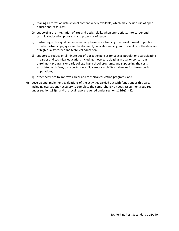- P) making all forms of instructional content widely available, which may include use of open educational resources;
- Q) supporting the integration of arts and design skills, when appropriate, into career and technical education programs and programs of study;
- R) partnering with a qualified intermediary to improve training, the development of public‐ private partnerships, systems development, capacity‐building, and scalability of the delivery of high‐quality career and technical education;
- S) support to reduce or eliminate out-of-pocket expenses for special populations participating in career and technical education, including those participating in dual or concurrent enrollment programs or early college high school programs, and supporting the costs associated with fees, transportation, child care, or mobility challenges for those special populations; or
- T) other activities to improve career and technical education programs; and
- 6) develop and implement evaluations of the activities carried out with funds under this part, including evaluations necessary to complete the comprehensive needs assessment required under section 134(c) and the local report required under section 113(b)(4)(B).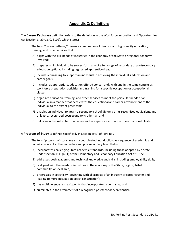## **Appendix C: Definitions**

The **Career Pathways** definition refers to the definition in the Workforce Innovation and Opportunities Act (section 3, 29 U.S.C. 3102), which states:

The term ''career pathway'' means a combination of rigorous and high‐quality education, training, and other services that —

- (A) aligns with the skill needs of industries in the economy of the State or regional economy involved;
- (B) prepares an individual to be successful in any of a full range of secondary or postsecondary education options, including registered apprenticeships;
- (C) includes counseling to support an individual in achieving the individual's education and career goals;
- (D) includes, as appropriate, education offered concurrently with and in the same context as workforce preparation activities and training for a specific occupation or occupational cluster;
- (E) organizes education, training, and other services to meet the particular needs of an individual in a manner that accelerates the educational and career advancement of the individual to the extent practicable;
- (F) enables an individual to attain a secondary school diploma or its recognized equivalent, and at least 1 recognized postsecondary credential; and
- (G) helps an individual enter or advance within a specific occupation or occupational cluster.

A **Program of Study** is defined specifically in Section 3(41) of Perkins V.

The term 'program of study' means a coordinated, nonduplicative sequence of academic and technical content at the secondary and postsecondary level that—

- (A) incorporates challenging State academic standards, including those adopted by a State under section 1111(b)(1) of the Elementary and Secondary Education Act of 1965;
- (B) addresses both academic and technical knowledge and skills, including employability skills;
- (C) is aligned with the needs of industries in the economy of the State, region, Tribal community, or local area;
- (D) progresses in specificity (beginning with all aspects of an industry or career cluster and leading to more occupation‐specific instruction);
- (E) has multiple entry and exit points that incorporate credentialing; and
- (F) culminates in the attainment of a recognized postsecondary credential.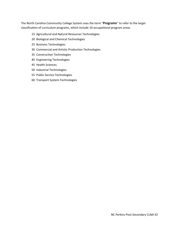The North Carolina Community College System uses the term "**Programs**" to refer to the larger classification of curriculum programs, which include 10 occupational program areas.

#### 15 Agricultural and Natural Resources Technologies

- 20 Biological and Chemical Technologies
- 25 Business Technologies
- 30 Commercial and Artistic Production Technologies
- 35 Construction Technologies
- 40 Engineering Technologies
- 45 Health Sciences
- 50 Industrial Technologies
- 55 Public Service Technologies
- 60 Transport System Technologies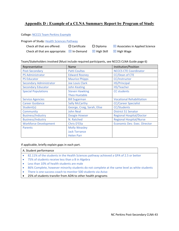# **Appendix D : Example of a CLNA Summary Report by Program of Study**

### College: NCCCS Team Perkins Example

Program of Study: Health Sciences Pathway

| Check all that are offered:                                                  | $\Box$ Certificate | $\square$ Diploma | $\boxtimes$ Associates in Applied Science |
|------------------------------------------------------------------------------|--------------------|-------------------|-------------------------------------------|
| Check all that are appropriate: $\boxtimes$ In-Demand $\boxtimes$ High Skill |                    |                   | $\boxtimes$ High Wage                     |

Team/Stakeholders involved (Must include required participants, see NCCCS CLNA Guide page 6)

| Representative                 | Name                        | Institution/Position                |
|--------------------------------|-----------------------------|-------------------------------------|
| Post-Secondary                 | <b>Patti Coultas</b>        | <b>NCCCS CTE Coordinator</b>        |
| <b>PS Administrator</b>        | <b>Edward Rooney</b>        | CC/Dean of CTE                      |
| <b>PS Educator</b>             | <b>Maurice Phipps</b>       | CC/Instructor                       |
| <b>Secondary Administrator</b> | <b>Joe Louis Clark</b>      | <b>HS/Principal</b>                 |
| <b>Secondary Educator</b>      | <b>John Keating</b>         | HS/Teacher                          |
| <b>Special Populations</b>     | <b>Steven Hawking</b>       | <b>CC</b> students                  |
|                                | <b>Theo Huxtable</b>        |                                     |
| <b>Service Agencies</b>        | <b>Bill Sugarman</b>        | <b>Vocational Rehabilitation</b>    |
| <b>Career Guidance</b>         | <b>Sally McCarthy</b>       | <b>CC/Career Specialist</b>         |
| Student(s)                     | George, Craig, Sarah, Elise | <b>CC/Students</b>                  |
| Community                      | <b>John Neal</b>            | <b>District 51 Senator</b>          |
| <b>Business/Industry</b>       | <b>Doogie Howser</b>        | <b>Regional Hospital/Doctor</b>     |
| <b>Business/Industry</b>       | N. Ratched                  | <b>Regional Hospital/Nurse</b>      |
| <b>Workforce Development</b>   | Chris D'Elia                | <b>Economic Dev. Exec. Director</b> |
| <b>Parents</b>                 | <b>Molly Weasley</b>        |                                     |
|                                | <b>Jack Torrance</b>        |                                     |
|                                | <b>Helen Parr</b>           |                                     |

If applicable, briefly explain gaps in each part.

#### A. Student performance

- 82.11% of the students in the Health Sciences pathway achieved a GPA of 2.5 or better
- 75% of students receive less than a B in Algebra
- Less than 10% of health students are male
- 86% Complete, however minority students do not complete at the same level as white students
- There is one success coach to monitor 500 students via Aviso
- 25% of students transfer from ADN to other health programs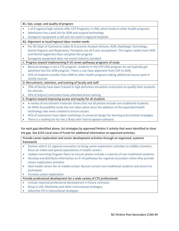|           | B1. Size, scope, and quality of program                                                              |
|-----------|------------------------------------------------------------------------------------------------------|
| $\bullet$ | 1 of 4 regional high schools offer CCP Programs in CNA, which leads to other health programs         |
| $\bullet$ | Admissions has a wait list for ADN and surgical technology                                           |
| $\bullet$ | Sonogram equipment is old and not used in regional hospitals                                         |
|           | B2. Alignment to local/regional labor market needs                                                   |
| $\bullet$ | Per NC Dept of Commerce Labor & Economic Analysis Division, ADN, Radiologic Technology,              |
|           | Dental Hygiene and Respiratory Therapists are all 5 star occupations. The region needs more ADN      |
|           | and Dental hygienists than complete the program                                                      |
| $\bullet$ | Sonogram equipment does not match industry standard                                                  |
|           | C. Progress toward implementing 9-14 career pathways programs of study                               |
| $\bullet$ | Because biology is not a CTE program, students in the CCP CNA program do not typically get           |
|           | admitted into the ADN program. There is not clear alignment from CCP to ADN.                         |
| $\bullet$ | 25% of students transfer from ADN to other health programs taking additional course work in          |
|           | similar courses                                                                                      |
|           | D. Recruitment, retention, and training of faculty and staff                                         |
|           | 70% of faculty have been trained in high definition simulation instruction to qualify their students |
|           | for clinicals.                                                                                       |
|           | 45% of Adjunct instructors have attended Aviso training                                              |
|           | E. Progress toward improving access and equity for all students                                      |
| ۰         | A review of recruitment materials shows that not all photos include non-traditional students.        |
| $\bullet$ | An MOA Accessibility study has not taken place since the addition of the expanded health             |
|           | technology labs were created to ensure access.                                                       |
| $\bullet$ | 45% of instructors have taken workshops in universal design for learning instructional strategies    |
| $\bullet$ | There is a waiting list for the 2 iPads with Text to Speech software                                 |
|           |                                                                                                      |

For each gap identified above, list strategies by approved Perkins V activity that were identified to close the gap. See §135 Local Uses of Funds for additional information on approved activities.

Provide career exploration and career development activities through an organized, systemic framework

- Partner with K-12 regional counselors to bring career exploration activities to middle schoolers, focus on males and special populations in health careers
- Update recruiting Program flyers to ensure photos include a majority of non-traditional students.
- Develop and distribute information on 9-14 pathways for regional counselors when they provide career exploration activities
- Host health career fair at middle school. Recruit current non-traditional students and alumni to participate
- **•** Increase career exploration

Provide professional development for a wide variety of CTE professionals

- Include required professional development in future contracts
- Bring in UDL Workshop and other instructional strategies
- Advertise PD in instructional strategies